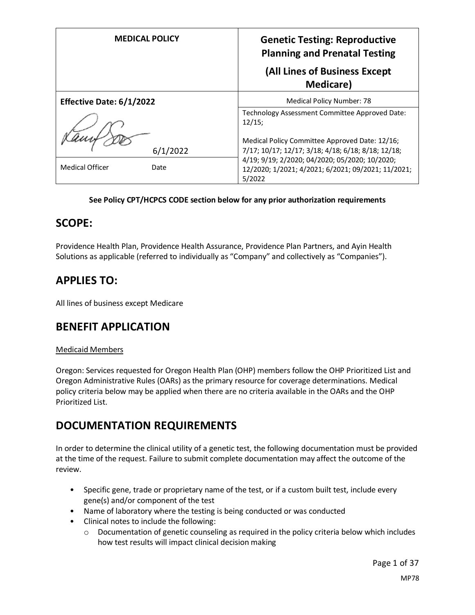| <b>MEDICAL POLICY</b>          | <b>Genetic Testing: Reproductive</b><br><b>Planning and Prenatal Testing</b><br>(All Lines of Business Except<br><b>Medicare</b> )                               |
|--------------------------------|------------------------------------------------------------------------------------------------------------------------------------------------------------------|
| Effective Date: 6/1/2022       | Medical Policy Number: 78                                                                                                                                        |
| 6/1/2022                       | Technology Assessment Committee Approved Date:<br>12/15;<br>Medical Policy Committee Approved Date: 12/16;<br>7/17; 10/17; 12/17; 3/18; 4/18; 6/18; 8/18; 12/18; |
| <b>Medical Officer</b><br>Date | 4/19; 9/19; 2/2020; 04/2020; 05/2020; 10/2020;<br>12/2020; 1/2021; 4/2021; 6/2021; 09/2021; 11/2021;<br>5/2022                                                   |

### **See Policy CPT/HCPCS CODE section below for any prior authorization requirements**

## **SCOPE:**

Providence Health Plan, Providence Health Assurance, Providence Plan Partners, and Ayin Health Solutions as applicable (referred to individually as "Company" and collectively as "Companies").

# **APPLIES TO:**

All lines of business except Medicare

## **BENEFIT APPLICATION**

### Medicaid Members

Oregon: Services requested for Oregon Health Plan (OHP) members follow the OHP Prioritized List and Oregon Administrative Rules (OARs) as the primary resource for coverage determinations. Medical policy criteria below may be applied when there are no criteria available in the OARs and the OHP Prioritized List.

# **DOCUMENTATION REQUIREMENTS**

In order to determine the clinical utility of a genetic test, the following documentation must be provided at the time of the request. Failure to submit complete documentation may affect the outcome of the review.

- Specific gene, trade or proprietary name of the test, or if a custom built test, include every gene(s) and/or component of the test
- Name of laboratory where the testing is being conducted or was conducted
- Clinical notes to include the following:
	- o Documentation of genetic counseling as required in the policy criteria below which includes how test results will impact clinical decision making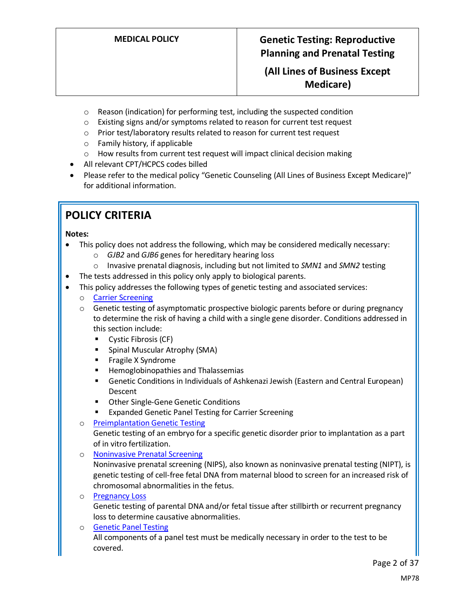## **(All Lines of Business Except Medicare)**

- o Reason (indication) for performing test, including the suspected condition
- o Existing signs and/or symptoms related to reason for current test request
- o Prior test/laboratory results related to reason for current test request
- o Family history, if applicable
- o How results from current test request will impact clinical decision making
- All relevant CPT/HCPCS codes billed
- Please refer to the medical policy "Genetic Counseling (All Lines of Business Except Medicare)" for additional information.

# **POLICY CRITERIA**

#### **Notes:**

- This policy does not address the following, which may be considered medically necessary:
	- o *GJB2* and *GJB6* genes for hereditary hearing loss
	- o Invasive prenatal diagnosis, including but not limited to *SMN1* and *SMN2* testing
- The tests addressed in this policy only apply to biological parents.
- This policy addresses the following types of genetic testing and associated services:
	- o Carrier Screening
	- $\circ$  Genetic testing of asymptomatic prospective biologic parents before or during pregnancy to determine the risk of having a child with a single gene disorder. Conditions addressed in this section include:
		- Cystic Fibrosis (CF)
		- Spinal Muscular Atrophy (SMA)
		- Fragile X Syndrome
		- Hemoglobinopathies and Thalassemias
		- **E** Genetic Conditions in Individuals of Ashkenazi Jewish (Eastern and Central European) Descent
		- Other Single-Gene Genetic Conditions
		- **Expanded Genetic Panel Testing for Carrier Screening**
	- o [Preimplantation Genetic Testing](#page-6-0)

Genetic testing of an embryo for a specific genetic disorder prior to implantation as a part of in vitro fertilization.

- o [Noninvasive Prenatal Screening](#page-7-0) Noninvasive prenatal screening (NIPS), also known as noninvasive prenatal testing (NIPT), is genetic testing of cell-free fetal DNA from maternal blood to screen for an increased risk of chromosomal abnormalities in the fetus.
- o [Pregnancy Loss](#page-7-1)

Genetic testing of parental DNA and/or fetal tissue after stillbirth or recurrent pregnancy loss to determine causative abnormalities.

o [Genetic Panel Testing](#page-8-0) All components of a panel test must be medically necessary in order to the test to be covered.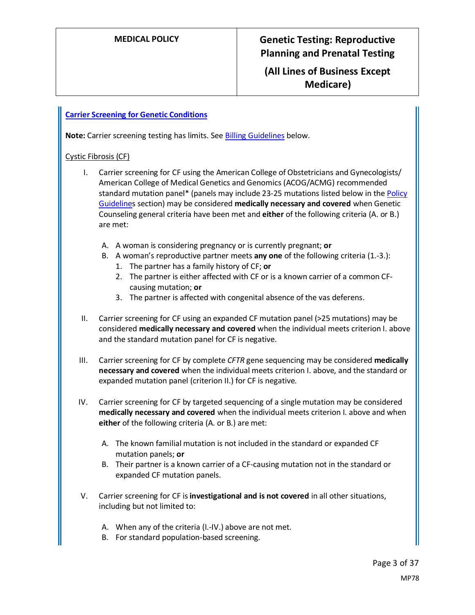## **(All Lines of Business Except Medicare)**

### **[Carrier Screening for Genetic Conditions](#page-18-0)**

Note: Carrier screening testing has limits. See **Billing Guidelines** below.

### Cystic Fibrosis (CF)

- I. Carrier screening for CF using the American College of Obstetricians and Gynecologists/ American College of Medical Genetics and Genomics (ACOG/ACMG) recommended standard mutation panel\* (panels may include 23-25 mutations listed below in the [Policy](#page-8-1)  [Guidelines](#page-8-1) section) may be considered **medically necessary and covered** when Genetic Counseling general criteria have been met and **either** of the following criteria (A. or B.) are met:
	- A. A woman is considering pregnancy or is currently pregnant; **or**
	- B. A woman's reproductive partner meets **any one** of the following criteria (1.-3.):
		- 1. The partner has a family history of CF; **or**
		- 2. The partner is either affected with CF or is a known carrier of a common CFcausing mutation; **or**
		- 3. The partner is affected with congenital absence of the vas deferens.
- II. Carrier screening for CF using an expanded CF mutation panel (>25 mutations) may be considered **medically necessary and covered** when the individual meets criterion I. above and the standard mutation panel for CF is negative.
- III. Carrier screening for CF by complete *CFTR* gene sequencing may be considered **medically necessary and covered** when the individual meets criterion I. above, and the standard or expanded mutation panel (criterion II.) for CF is negative.
- IV. Carrier screening for CF by targeted sequencing of a single mutation may be considered **medically necessary and covered** when the individual meets criterion I. above and when **either** of the following criteria (A. or B.) are met:
	- A. The known familial mutation is not included in the standard or expanded CF mutation panels; **or**
	- B. Their partner is a known carrier of a CF-causing mutation not in the standard or expanded CF mutation panels.
- V. Carrier screening for CF is **investigational and is not covered** in all other situations, including but not limited to:
	- A. When any of the criteria (I.-IV.) above are not met.
	- B. For standard population-based screening.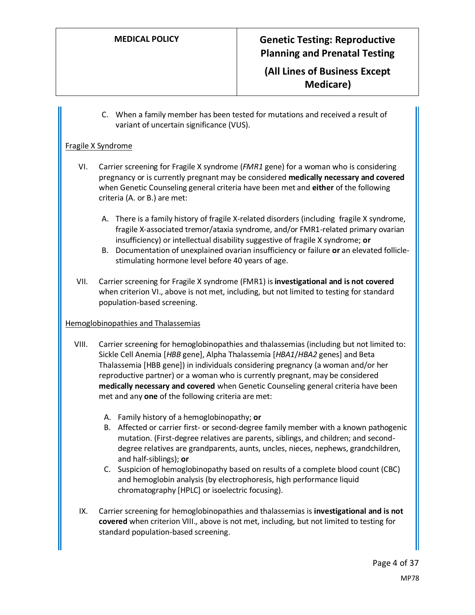**(All Lines of Business Except Medicare)**

C. When a family member has been tested for mutations and received a result of variant of uncertain significance (VUS).

#### Fragile X Syndrome

- VI. Carrier screening for Fragile X syndrome (*FMR1* gene) for a woman who is considering pregnancy or is currently pregnant may be considered **medically necessary and covered** when Genetic Counseling general criteria have been met and **either** of the following criteria (A. or B.) are met:
	- A. There is a family history of fragile X-related disorders (including fragile X syndrome, fragile X-associated tremor/ataxia syndrome, and/or FMR1-related primary ovarian insufficiency) or intellectual disability suggestive of fragile X syndrome; **or**
	- B. Documentation of unexplained ovarian insufficiency or failure **or** an elevated folliclestimulating hormone level before 40 years of age.
- VII. Carrier screening for Fragile X syndrome (FMR1) is **investigational and is not covered** when criterion VI., above is not met, including, but not limited to testing for standard population-based screening.

#### Hemoglobinopathies and Thalassemias

- VIII. Carrier screening for hemoglobinopathies and thalassemias (including but not limited to: Sickle Cell Anemia [*HBB* gene], Alpha Thalassemia [*HBA1*/*HBA2* genes] and Beta Thalassemia [HBB gene]) in individuals considering pregnancy (a woman and/or her reproductive partner) or a woman who is currently pregnant, may be considered **medically necessary and covered** when Genetic Counseling general criteria have been met and any **one** of the following criteria are met:
	- A. Family history of a hemoglobinopathy; **or**
	- B. Affected or carrier first- or second-degree family member with a known pathogenic mutation. (First-degree relatives are parents, siblings, and children; and seconddegree relatives are grandparents, aunts, uncles, nieces, nephews, grandchildren, and half-siblings); **or**
	- C. Suspicion of hemoglobinopathy based on results of a complete blood count (CBC) and hemoglobin analysis (by electrophoresis, high performance liquid chromatography [HPLC] or isoelectric focusing).
	- IX. Carrier screening for hemoglobinopathies and thalassemias is **investigational and is not covered** when criterion VIII., above is not met, including, but not limited to testing for standard population-based screening.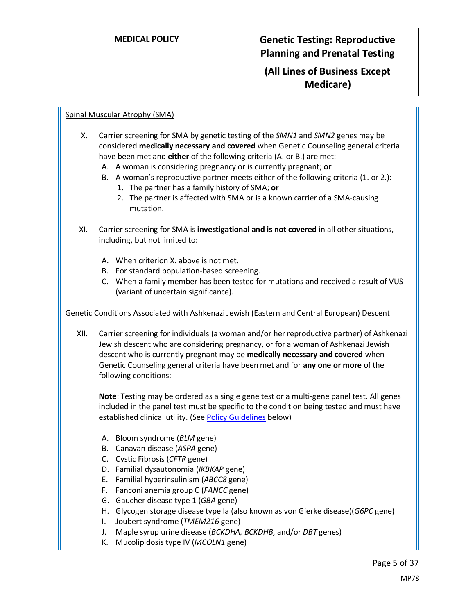**(All Lines of Business Except Medicare)**

### Spinal Muscular Atrophy (SMA)

- X. Carrier screening for SMA by genetic testing of the *SMN1* and *SMN2* genes may be considered **medically necessary and covered** when Genetic Counseling general criteria have been met and **either** of the following criteria (A. or B.) are met:
	- A. A woman is considering pregnancy or is currently pregnant; **or**
	- B. A woman's reproductive partner meets either of the following criteria (1. or 2.): 1. The partner has a family history of SMA; **or**
		- 2. The partner is affected with SMA or is a known carrier of a SMA-causing mutation.
- XI. Carrier screening for SMA is **investigational and is not covered** in all other situations, including, but not limited to:
	- A. When criterion X. above is not met.
	- B. For standard population-based screening.
	- C. When a family member has been tested for mutations and received a result of VUS (variant of uncertain significance).

#### Genetic Conditions Associated with Ashkenazi Jewish (Eastern and Central European) Descent

XII. Carrier screening for individuals (a woman and/or her reproductive partner) of Ashkenazi Jewish descent who are considering pregnancy, or for a woman of Ashkenazi Jewish descent who is currently pregnant may be **medically necessary and covered** when Genetic Counseling general criteria have been met and for **any one or more** of the following conditions:

**Note**: Testing may be ordered as a single gene test or a multi-gene panel test. All genes included in the panel test must be specific to the condition being tested and must have established clinical utility. (Se[e Policy Guidelines](#page-8-2) below)

- A. Bloom syndrome (*BLM* gene)
- B. Canavan disease (*ASPA* gene)
- C. Cystic Fibrosis (*CFTR* gene)
- D. Familial dysautonomia (*IKBKAP* gene)
- E. Familial hyperinsulinism (*ABCC8* gene)
- F. Fanconi anemia group C (*FANCC* gene)
- G. Gaucher disease type 1 (*GBA* gene)
- H. Glycogen storage disease type Ia (also known as von Gierke disease)(*G6PC* gene)
- I. Joubert syndrome (*TMEM216* gene)
- J. Maple syrup urine disease (*BCKDHA, BCKDHB*, and/or *DBT* genes)
- K. Mucolipidosis type IV (*MCOLN1* gene)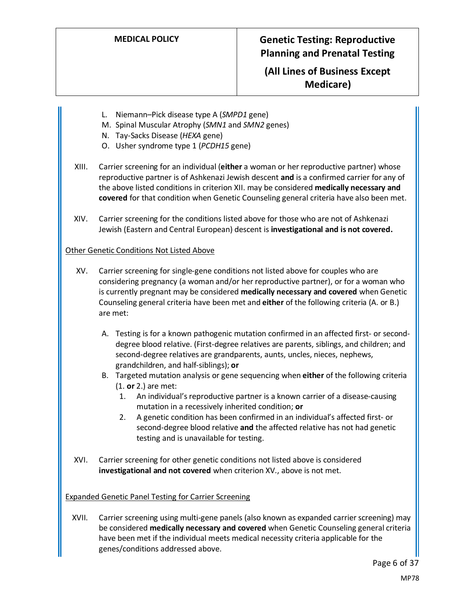## **(All Lines of Business Except Medicare)**

- L. Niemann–Pick disease type A (*SMPD1* gene)
- M. Spinal Muscular Atrophy (*SMN1* and *SMN2* genes)
- N. Tay-Sacks Disease (*HEXA* gene)
- O. Usher syndrome type 1 (*PCDH15* gene)
- XIII. Carrier screening for an individual (**either** a woman or her reproductive partner) whose reproductive partner is of Ashkenazi Jewish descent **and** is a confirmed carrier for any of the above listed conditions in criterion XII. may be considered **medically necessary and covered** for that condition when Genetic Counseling general criteria have also been met.
- XIV. Carrier screening for the conditions listed above for those who are not of Ashkenazi Jewish (Eastern and Central European) descent is **investigational and is not covered.**

#### Other Genetic Conditions Not Listed Above

- XV. Carrier screening for single-gene conditions not listed above for couples who are considering pregnancy (a woman and/or her reproductive partner), or for a woman who is currently pregnant may be considered **medically necessary and covered** when Genetic Counseling general criteria have been met and **either** of the following criteria (A. or B.) are met:
	- A. Testing is for a known pathogenic mutation confirmed in an affected first- or seconddegree blood relative. (First-degree relatives are parents, siblings, and children; and second-degree relatives are grandparents, aunts, uncles, nieces, nephews, grandchildren, and half-siblings); **or**
	- B. Targeted mutation analysis or gene sequencing when **either** of the following criteria (1. **or** 2.) are met:
		- 1. An individual's reproductive partner is a known carrier of a disease-causing mutation in a recessively inherited condition; **or**
		- 2. A genetic condition has been confirmed in an individual's affected first- or second-degree blood relative **and** the affected relative has not had genetic testing and is unavailable for testing.
- XVI. Carrier screening for other genetic conditions not listed above is considered **investigational and not covered** when criterion XV., above is not met.

#### Expanded Genetic Panel Testing for Carrier Screening

XVII. Carrier screening using multi-gene panels (also known as expanded carrier screening) may be considered **medically necessary and covered** when Genetic Counseling general criteria have been met if the individual meets medical necessity criteria applicable for the genes/conditions addressed above.

Page 6 of 37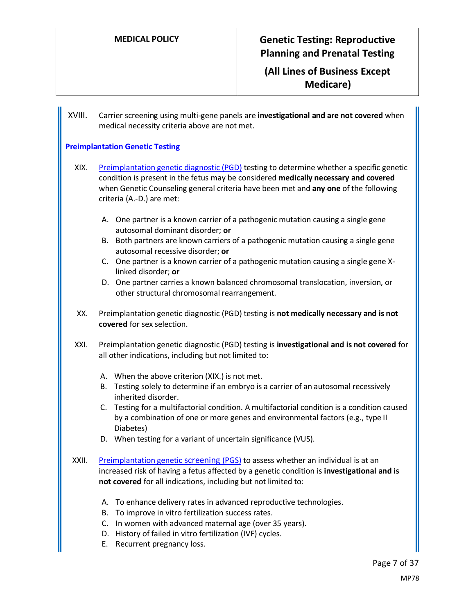**(All Lines of Business Except Medicare)**

XVIII. Carrier screening using multi-gene panels are **investigational and are not covered** when medical necessity criteria above are not met.

### <span id="page-6-0"></span>**[Preimplantation Genetic Testing](#page-18-1)**

- XIX. [Preimplantation genetic diagnostic](#page-18-2) (PGD) testing to determine whether a specific genetic condition is present in the fetus may be considered **medically necessary and covered** when Genetic Counseling general criteria have been met and **any one** of the following criteria (A.-D.) are met:
	- A. One partner is a known carrier of a pathogenic mutation causing a single gene autosomal dominant disorder; **or**
	- B. Both partners are known carriers of a pathogenic mutation causing a single gene autosomal recessive disorder; **or**
	- C. One partner is a known carrier of a pathogenic mutation causing a single gene Xlinked disorder; **or**
	- D. One partner carries a known balanced chromosomal translocation, inversion, or other structural chromosomal rearrangement.
- XX. Preimplantation genetic diagnostic (PGD) testing is **not medically necessary and is not covered** for sex selection.
- XXI. Preimplantation genetic diagnostic (PGD) testing is **investigational and is not covered** for all other indications, including but not limited to:
	- A. When the above criterion (XIX.) is not met.
	- B. Testing solely to determine if an embryo is a carrier of an autosomal recessively inherited disorder.
	- C. Testing for a multifactorial condition. A multifactorial condition is a condition caused by a combination of one or more genes and environmental factors (e.g., type II Diabetes)
	- D. When testing for a variant of uncertain significance (VUS).
- XXII. [Preimplantation genetic](#page-19-0) screening (PGS) to assess whether an individual is at an increased risk of having a fetus affected by a genetic condition is **investigational and is not covered** for all indications, including but not limited to:
	- A. To enhance delivery rates in advanced reproductive technologies.
	- B. To improve in vitro fertilization success rates.
	- C. In women with advanced maternal age (over 35 years).
	- D. History of failed in vitro fertilization (IVF) cycles.
	- E. Recurrent pregnancy loss.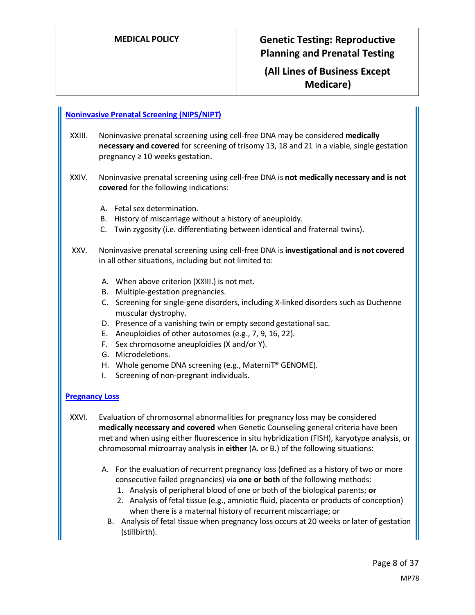## **(All Lines of Business Except Medicare)**

#### <span id="page-7-0"></span>**[Noninvasive Prenatal Screening \(NIPS/NIPT\)](#page-19-1)**

- XXIII. Noninvasive prenatal screening using cell-free DNA may be considered **medically necessary and covered** for screening of trisomy 13, 18 and 21 in a viable, single gestation pregnancy  $\geq 10$  weeks gestation.
- XXIV. Noninvasive prenatal screening using cell-free DNA is **not medically necessary and is not covered** for the following indications:
	- A. Fetal sex determination.
	- B. History of miscarriage without a history of aneuploidy.
	- C. Twin zygosity (i.e. differentiating between identical and fraternal twins).
- XXV. Noninvasive prenatal screening using cell-free DNA is **investigational and is not covered** in all other situations, including but not limited to:
	- A. When above criterion (XXIII.) is not met.
	- B. Multiple-gestation pregnancies.
	- C. Screening for single-gene disorders, including X-linked disorders such as Duchenne muscular dystrophy.
	- D. Presence of a vanishing twin or empty second gestational sac.
	- E. Aneuploidies of other autosomes (e.g., 7, 9, 16, 22).
	- F. Sex chromosome aneuploidies (X and/or Y).
	- G. Microdeletions.
	- H. Whole genome DNA screening (e.g., MaterniT® GENOME).
	- I. Screening of non-pregnant individuals.

### <span id="page-7-1"></span>**[Pregnancy Loss](#page-19-2)**

- XXVI. Evaluation of chromosomal abnormalities for pregnancy loss may be considered **medically necessary and covered** when Genetic Counseling general criteria have been met and when using either fluorescence in situ hybridization (FISH), karyotype analysis, or chromosomal microarray analysis in **either** (A. or B.) of the following situations:
	- A. For the evaluation of recurrent pregnancy loss (defined as a history of two or more consecutive failed pregnancies) via **one or both** of the following methods:
		- 1. Analysis of peripheral blood of one or both of the biological parents; **or**
		- 2. Analysis of fetal tissue (e.g., amniotic fluid, placenta or products of conception) when there is a maternal history of recurrent miscarriage; or
		- B. Analysis of fetal tissue when pregnancy loss occurs at 20 weeks or later of gestation (stillbirth).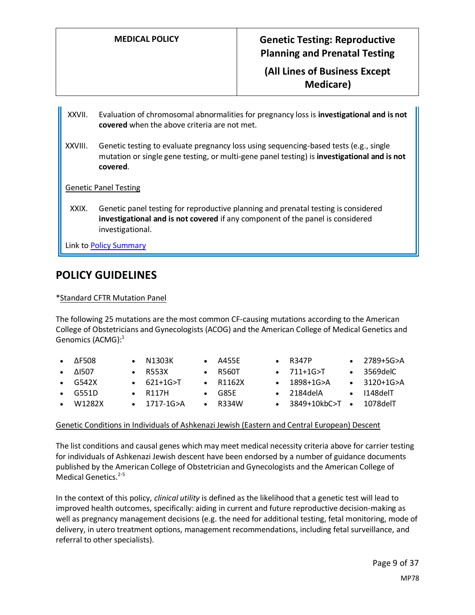**(All Lines of Business Except Medicare)**

- XXVII. Evaluation of chromosomal abnormalities for pregnancy loss is **investigational and is not covered** when the above criteria are not met.
- XXVIII. Genetic testing to evaluate pregnancy loss using sequencing-based tests (e.g., single mutation or single gene testing, or multi-gene panel testing) is **investigational and is not covered**.

Genetic Panel Testing

<span id="page-8-0"></span>XXIX. Genetic panel testing for reproductive planning and prenatal testing is considered **investigational and is not covered** if any component of the panel is considered investigational.

Link t[o Policy Summary](#page-31-0)

## **POLICY GUIDELINES**

#### <span id="page-8-1"></span>\*Standard CFTR Mutation Panel

The following 25 mutations are the most common CF-causing mutations according to the American College of Obstetricians and Gynecologists (ACOG) and the American College of Medical Genetics and Genomics (ACMG): 1

| $\bullet$ $\Delta$ F508 | $\bullet$ N1303K    | $\bullet$ A455E  | $\bullet$ R347P                 | $\bullet$ 2789+5G>A  |
|-------------------------|---------------------|------------------|---------------------------------|----------------------|
| $\bullet$ $\Delta$ 1507 | $\bullet$ R553X     | $\bullet$ R560T  | $\bullet$ 711+1G>T              | $\bullet$ 3569delC   |
| $\bullet$ G542X         | $\bullet$ 621+1G>T  | $\bullet$ R1162X | $\bullet$ 1898+1G>A             | $\bullet$ 3120+1G>A  |
| $\bullet$ G551D         | $\bullet$ R117H     | $\bullet$ G85E   | $\bullet$ 2184delA              | $\bullet$ 1148 del T |
| W1282X                  | $\bullet$ 1717-1G>A | $\bullet$ R334W  | • $3849+10kbC>$ T • $1078del$ T |                      |
|                         |                     |                  |                                 |                      |

#### <span id="page-8-2"></span>Genetic Conditions in Individuals of Ashkenazi Jewish (Eastern and Central European) Descent

The list conditions and causal genes which may meet medical necessity criteria above for carrier testing for individuals of Ashkenazi Jewish descent have been endorsed by a number of guidance documents published by the American College of Obstetrician and Gynecologists and the American College of Medical Genetics. $2-5$ 

In the context of this policy, *clinical utility* is defined as the likelihood that a genetic test will lead to improved health outcomes, specifically: aiding in current and future reproductive decision-making as well as pregnancy management decisions (e.g. the need for additional testing, fetal monitoring, mode of delivery, in utero treatment options, management recommendations, including fetal surveillance, and referral to other specialists).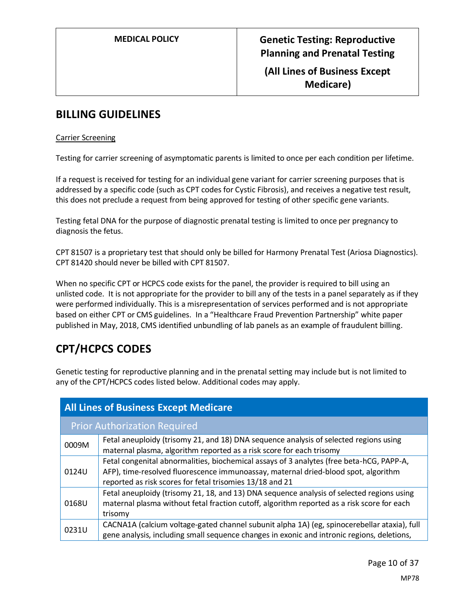## **(All Lines of Business Except Medicare)**

## <span id="page-9-0"></span>**BILLING GUIDELINES**

### Carrier Screening

Testing for carrier screening of asymptomatic parents is limited to once per each condition per lifetime.

If a request is received for testing for an individual gene variant for carrier screening purposes that is addressed by a specific code (such as CPT codes for Cystic Fibrosis), and receives a negative test result, this does not preclude a request from being approved for testing of other specific gene variants.

Testing fetal DNA for the purpose of diagnostic prenatal testing is limited to once per pregnancy to diagnosis the fetus.

CPT 81507 is a proprietary test that should only be billed for Harmony Prenatal Test (Ariosa Diagnostics). CPT 81420 should never be billed with CPT 81507.

When no specific CPT or HCPCS code exists for the panel, the provider is required to bill using an unlisted code. It is not appropriate for the provider to bill any of the tests in a panel separately as if they were performed individually. This is a misrepresentation of services performed and is not appropriate based on either CPT or CMS guidelines. In a "Healthcare Fraud Prevention Partnership" white paper published in May, 2018, CMS identified unbundling of lab panels as an example of fraudulent billing.

# **CPT/HCPCS CODES**

Genetic testing for reproductive planning and in the prenatal setting may include but is not limited to any of the CPT/HCPCS codes listed below. Additional codes may apply.

| <b>All Lines of Business Except Medicare</b> |                                                                                                                                                                                                                                            |  |  |
|----------------------------------------------|--------------------------------------------------------------------------------------------------------------------------------------------------------------------------------------------------------------------------------------------|--|--|
|                                              | <b>Prior Authorization Required</b>                                                                                                                                                                                                        |  |  |
| 0009M                                        | Fetal aneuploidy (trisomy 21, and 18) DNA sequence analysis of selected regions using<br>maternal plasma, algorithm reported as a risk score for each trisomy                                                                              |  |  |
| 0124U                                        | Fetal congenital abnormalities, biochemical assays of 3 analytes (free beta-hCG, PAPP-A,<br>AFP), time-resolved fluorescence immunoassay, maternal dried-blood spot, algorithm<br>reported as risk scores for fetal trisomies 13/18 and 21 |  |  |
| 0168U                                        | Fetal aneuploidy (trisomy 21, 18, and 13) DNA sequence analysis of selected regions using<br>maternal plasma without fetal fraction cutoff, algorithm reported as a risk score for each<br>trisomy                                         |  |  |
| 0231U                                        | CACNA1A (calcium voltage-gated channel subunit alpha 1A) (eg, spinocerebellar ataxia), full<br>gene analysis, including small sequence changes in exonic and intronic regions, deletions,                                                  |  |  |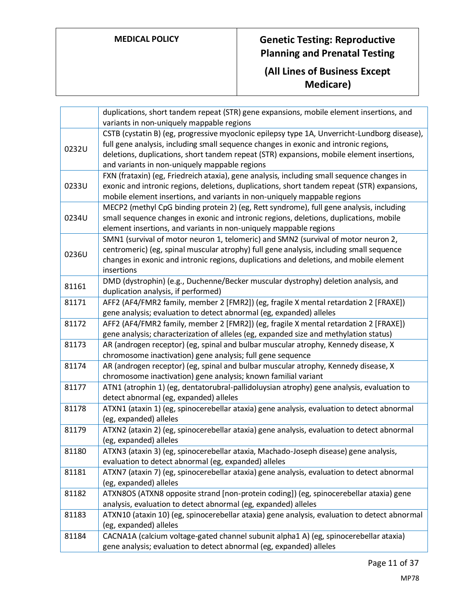|       | duplications, short tandem repeat (STR) gene expansions, mobile element insertions, and                                                                     |
|-------|-------------------------------------------------------------------------------------------------------------------------------------------------------------|
|       | variants in non-uniquely mappable regions<br>CSTB (cystatin B) (eg, progressive myoclonic epilepsy type 1A, Unverricht-Lundborg disease),                   |
|       | full gene analysis, including small sequence changes in exonic and intronic regions,                                                                        |
| 0232U | deletions, duplications, short tandem repeat (STR) expansions, mobile element insertions,                                                                   |
|       | and variants in non-uniquely mappable regions                                                                                                               |
|       | FXN (frataxin) (eg, Friedreich ataxia), gene analysis, including small sequence changes in                                                                  |
| 0233U | exonic and intronic regions, deletions, duplications, short tandem repeat (STR) expansions,                                                                 |
|       | mobile element insertions, and variants in non-uniquely mappable regions                                                                                    |
|       | MECP2 (methyl CpG binding protein 2) (eg, Rett syndrome), full gene analysis, including                                                                     |
| 0234U | small sequence changes in exonic and intronic regions, deletions, duplications, mobile                                                                      |
|       | element insertions, and variants in non-uniquely mappable regions                                                                                           |
|       | SMN1 (survival of motor neuron 1, telomeric) and SMN2 (survival of motor neuron 2,                                                                          |
| 0236U | centromeric) (eg, spinal muscular atrophy) full gene analysis, including small sequence                                                                     |
|       | changes in exonic and intronic regions, duplications and deletions, and mobile element                                                                      |
|       | insertions                                                                                                                                                  |
| 81161 | DMD (dystrophin) (e.g., Duchenne/Becker muscular dystrophy) deletion analysis, and                                                                          |
|       | duplication analysis, if performed)                                                                                                                         |
| 81171 | AFF2 (AF4/FMR2 family, member 2 [FMR2]) (eg, fragile X mental retardation 2 [FRAXE])<br>gene analysis; evaluation to detect abnormal (eg, expanded) alleles |
| 81172 | AFF2 (AF4/FMR2 family, member 2 [FMR2]) (eg, fragile X mental retardation 2 [FRAXE])                                                                        |
|       | gene analysis; characterization of alleles (eg, expanded size and methylation status)                                                                       |
| 81173 | AR (androgen receptor) (eg, spinal and bulbar muscular atrophy, Kennedy disease, X                                                                          |
|       | chromosome inactivation) gene analysis; full gene sequence                                                                                                  |
| 81174 | AR (androgen receptor) (eg, spinal and bulbar muscular atrophy, Kennedy disease, X                                                                          |
|       | chromosome inactivation) gene analysis; known familial variant                                                                                              |
| 81177 | ATN1 (atrophin 1) (eg, dentatorubral-pallidoluysian atrophy) gene analysis, evaluation to                                                                   |
|       | detect abnormal (eg, expanded) alleles                                                                                                                      |
| 81178 | ATXN1 (ataxin 1) (eg, spinocerebellar ataxia) gene analysis, evaluation to detect abnormal                                                                  |
| 81179 | (eg, expanded) alleles<br>ATXN2 (ataxin 2) (eg, spinocerebellar ataxia) gene analysis, evaluation to detect abnormal                                        |
|       | (eg, expanded) alleles                                                                                                                                      |
| 81180 | ATXN3 (ataxin 3) (eg, spinocerebellar ataxia, Machado-Joseph disease) gene analysis,                                                                        |
|       | evaluation to detect abnormal (eg, expanded) alleles                                                                                                        |
| 81181 | ATXN7 (ataxin 7) (eg, spinocerebellar ataxia) gene analysis, evaluation to detect abnormal                                                                  |
|       | (eg, expanded) alleles                                                                                                                                      |
| 81182 | ATXN8OS (ATXN8 opposite strand [non-protein coding]) (eg, spinocerebellar ataxia) gene                                                                      |
|       | analysis, evaluation to detect abnormal (eg, expanded) alleles                                                                                              |
| 81183 | ATXN10 (ataxin 10) (eg, spinocerebellar ataxia) gene analysis, evaluation to detect abnormal                                                                |
|       | (eg, expanded) alleles                                                                                                                                      |
| 81184 | CACNA1A (calcium voltage-gated channel subunit alpha1 A) (eg, spinocerebellar ataxia)                                                                       |
|       | gene analysis; evaluation to detect abnormal (eg, expanded) alleles                                                                                         |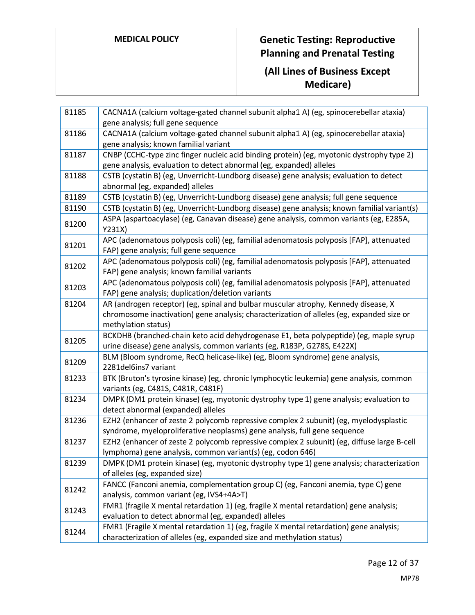| 81185 | CACNA1A (calcium voltage-gated channel subunit alpha1 A) (eg, spinocerebellar ataxia)<br>gene analysis; full gene sequence                                                                             |
|-------|--------------------------------------------------------------------------------------------------------------------------------------------------------------------------------------------------------|
| 81186 | CACNA1A (calcium voltage-gated channel subunit alpha1 A) (eg, spinocerebellar ataxia)<br>gene analysis; known familial variant                                                                         |
| 81187 | CNBP (CCHC-type zinc finger nucleic acid binding protein) (eg, myotonic dystrophy type 2)<br>gene analysis, evaluation to detect abnormal (eg, expanded) alleles                                       |
| 81188 | CSTB (cystatin B) (eg, Unverricht-Lundborg disease) gene analysis; evaluation to detect<br>abnormal (eg, expanded) alleles                                                                             |
| 81189 | CSTB (cystatin B) (eg, Unverricht-Lundborg disease) gene analysis; full gene sequence                                                                                                                  |
| 81190 | CSTB (cystatin B) (eg, Unverricht-Lundborg disease) gene analysis; known familial variant(s)                                                                                                           |
| 81200 | ASPA (aspartoacylase) (eg, Canavan disease) gene analysis, common variants (eg, E285A,<br>Y231X)                                                                                                       |
| 81201 | APC (adenomatous polyposis coli) (eg, familial adenomatosis polyposis [FAP], attenuated<br>FAP) gene analysis; full gene sequence                                                                      |
| 81202 | APC (adenomatous polyposis coli) (eg, familial adenomatosis polyposis [FAP], attenuated<br>FAP) gene analysis; known familial variants                                                                 |
| 81203 | APC (adenomatous polyposis coli) (eg, familial adenomatosis polyposis [FAP], attenuated<br>FAP) gene analysis; duplication/deletion variants                                                           |
| 81204 | AR (androgen receptor) (eg, spinal and bulbar muscular atrophy, Kennedy disease, X<br>chromosome inactivation) gene analysis; characterization of alleles (eg, expanded size or<br>methylation status) |
| 81205 | BCKDHB (branched-chain keto acid dehydrogenase E1, beta polypeptide) (eg, maple syrup<br>urine disease) gene analysis, common variants (eg, R183P, G278S, E422X)                                       |
| 81209 | BLM (Bloom syndrome, RecQ helicase-like) (eg, Bloom syndrome) gene analysis,<br>2281del6ins7 variant                                                                                                   |
| 81233 | BTK (Bruton's tyrosine kinase) (eg, chronic lymphocytic leukemia) gene analysis, common<br>variants (eg, C481S, C481R, C481F)                                                                          |
| 81234 | DMPK (DM1 protein kinase) (eg, myotonic dystrophy type 1) gene analysis; evaluation to<br>detect abnormal (expanded) alleles                                                                           |
| 81236 | EZH2 (enhancer of zeste 2 polycomb repressive complex 2 subunit) (eg, myelodysplastic<br>syndrome, myeloproliferative neoplasms) gene analysis, full gene sequence                                     |
| 81237 | EZH2 (enhancer of zeste 2 polycomb repressive complex 2 subunit) (eg, diffuse large B-cell<br>lymphoma) gene analysis, common variant(s) (eg, codon 646)                                               |
| 81239 | DMPK (DM1 protein kinase) (eg, myotonic dystrophy type 1) gene analysis; characterization<br>of alleles (eg, expanded size)                                                                            |
| 81242 | FANCC (Fanconi anemia, complementation group C) (eg, Fanconi anemia, type C) gene<br>analysis, common variant (eg, IVS4+4A>T)                                                                          |
| 81243 | FMR1 (fragile X mental retardation 1) (eg, fragile X mental retardation) gene analysis;<br>evaluation to detect abnormal (eg, expanded) alleles                                                        |
| 81244 | FMR1 (Fragile X mental retardation 1) (eg, fragile X mental retardation) gene analysis;<br>characterization of alleles (eg, expanded size and methylation status)                                      |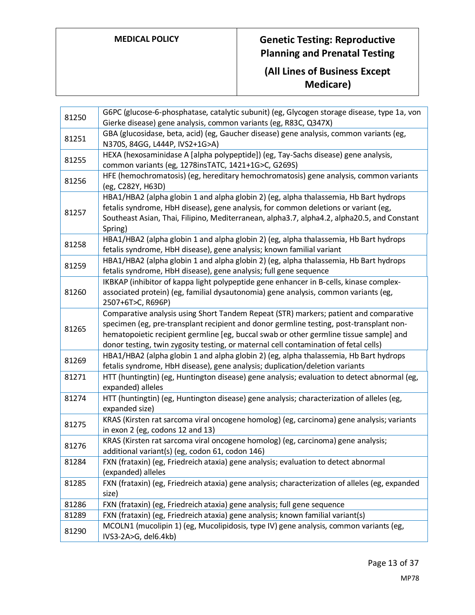| 81250 | G6PC (glucose-6-phosphatase, catalytic subunit) (eg, Glycogen storage disease, type 1a, von<br>Gierke disease) gene analysis, common variants (eg, R83C, Q347X)                                                                                                                                                                                                    |
|-------|--------------------------------------------------------------------------------------------------------------------------------------------------------------------------------------------------------------------------------------------------------------------------------------------------------------------------------------------------------------------|
| 81251 | GBA (glucosidase, beta, acid) (eg, Gaucher disease) gene analysis, common variants (eg,<br>N370S, 84GG, L444P, IVS2+1G>A)                                                                                                                                                                                                                                          |
| 81255 | HEXA (hexosaminidase A [alpha polypeptide]) (eg, Tay-Sachs disease) gene analysis,<br>common variants (eg, 1278insTATC, 1421+1G>C, G269S)                                                                                                                                                                                                                          |
| 81256 | HFE (hemochromatosis) (eg, hereditary hemochromatosis) gene analysis, common variants<br>(eg, C282Y, H63D)                                                                                                                                                                                                                                                         |
| 81257 | HBA1/HBA2 (alpha globin 1 and alpha globin 2) (eg, alpha thalassemia, Hb Bart hydrops<br>fetalis syndrome, HbH disease), gene analysis, for common deletions or variant (eg,<br>Southeast Asian, Thai, Filipino, Mediterranean, alpha3.7, alpha4.2, alpha20.5, and Constant<br>Spring)                                                                             |
| 81258 | HBA1/HBA2 (alpha globin 1 and alpha globin 2) (eg, alpha thalassemia, Hb Bart hydrops<br>fetalis syndrome, HbH disease), gene analysis; known familial variant                                                                                                                                                                                                     |
| 81259 | HBA1/HBA2 (alpha globin 1 and alpha globin 2) (eg, alpha thalassemia, Hb Bart hydrops<br>fetalis syndrome, HbH disease), gene analysis; full gene sequence                                                                                                                                                                                                         |
| 81260 | IKBKAP (inhibitor of kappa light polypeptide gene enhancer in B-cells, kinase complex-<br>associated protein) (eg, familial dysautonomia) gene analysis, common variants (eg,<br>2507+6T>C, R696P)                                                                                                                                                                 |
| 81265 | Comparative analysis using Short Tandem Repeat (STR) markers; patient and comparative<br>specimen (eg, pre-transplant recipient and donor germline testing, post-transplant non-<br>hematopoietic recipient germline [eg, buccal swab or other germline tissue sample] and<br>donor testing, twin zygosity testing, or maternal cell contamination of fetal cells) |
| 81269 | HBA1/HBA2 (alpha globin 1 and alpha globin 2) (eg, alpha thalassemia, Hb Bart hydrops<br>fetalis syndrome, HbH disease), gene analysis; duplication/deletion variants                                                                                                                                                                                              |
| 81271 | HTT (huntingtin) (eg, Huntington disease) gene analysis; evaluation to detect abnormal (eg,<br>expanded) alleles                                                                                                                                                                                                                                                   |
| 81274 | HTT (huntingtin) (eg, Huntington disease) gene analysis; characterization of alleles (eg,<br>expanded size)                                                                                                                                                                                                                                                        |
| 81275 | KRAS (Kirsten rat sarcoma viral oncogene homolog) (eg, carcinoma) gene analysis; variants<br>in exon 2 (eg, codons 12 and 13)                                                                                                                                                                                                                                      |
| 81276 | KRAS (Kirsten rat sarcoma viral oncogene homolog) (eg, carcinoma) gene analysis;<br>additional variant(s) (eg, codon 61, codon 146)                                                                                                                                                                                                                                |
| 81284 | FXN (frataxin) (eg, Friedreich ataxia) gene analysis; evaluation to detect abnormal<br>(expanded) alleles                                                                                                                                                                                                                                                          |
| 81285 | FXN (frataxin) (eg, Friedreich ataxia) gene analysis; characterization of alleles (eg, expanded<br>size)                                                                                                                                                                                                                                                           |
| 81286 | FXN (frataxin) (eg, Friedreich ataxia) gene analysis; full gene sequence                                                                                                                                                                                                                                                                                           |
| 81289 | FXN (frataxin) (eg, Friedreich ataxia) gene analysis; known familial variant(s)                                                                                                                                                                                                                                                                                    |
| 81290 | MCOLN1 (mucolipin 1) (eg, Mucolipidosis, type IV) gene analysis, common variants (eg,<br>IVS3-2A>G, del6.4kb)                                                                                                                                                                                                                                                      |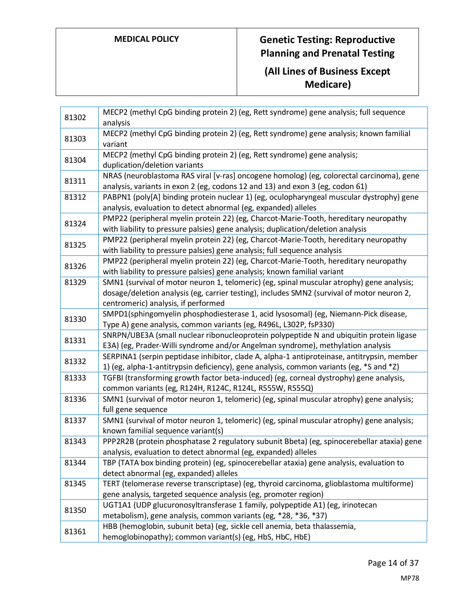| 81302 | MECP2 (methyl CpG binding protein 2) (eg, Rett syndrome) gene analysis; full sequence<br>analysis                                                                                                                              |
|-------|--------------------------------------------------------------------------------------------------------------------------------------------------------------------------------------------------------------------------------|
| 81303 | MECP2 (methyl CpG binding protein 2) (eg, Rett syndrome) gene analysis; known familial<br>variant                                                                                                                              |
| 81304 | MECP2 (methyl CpG binding protein 2) (eg, Rett syndrome) gene analysis;<br>duplication/deletion variants                                                                                                                       |
| 81311 | NRAS (neuroblastoma RAS viral [v-ras] oncogene homolog) (eg, colorectal carcinoma), gene<br>analysis, variants in exon 2 (eg, codons 12 and 13) and exon 3 (eg, codon 61)                                                      |
| 81312 | PABPN1 (poly[A] binding protein nuclear 1) (eg, oculopharyngeal muscular dystrophy) gene<br>analysis, evaluation to detect abnormal (eg, expanded) alleles                                                                     |
| 81324 | PMP22 (peripheral myelin protein 22) (eg, Charcot-Marie-Tooth, hereditary neuropathy<br>with liability to pressure palsies) gene analysis; duplication/deletion analysis                                                       |
| 81325 | PMP22 (peripheral myelin protein 22) (eg, Charcot-Marie-Tooth, hereditary neuropathy<br>with liability to pressure palsies) gene analysis; full sequence analysis                                                              |
| 81326 | PMP22 (peripheral myelin protein 22) (eg, Charcot-Marie-Tooth, hereditary neuropathy<br>with liability to pressure palsies) gene analysis; known familial variant                                                              |
| 81329 | SMN1 (survival of motor neuron 1, telomeric) (eg, spinal muscular atrophy) gene analysis;<br>dosage/deletion analysis (eg, carrier testing), includes SMN2 (survival of motor neuron 2,<br>centromeric) analysis, if performed |
| 81330 | SMPD1(sphingomyelin phosphodiesterase 1, acid lysosomal) (eg, Niemann-Pick disease,<br>Type A) gene analysis, common variants (eg, R496L, L302P, fsP330)                                                                       |
| 81331 | SNRPN/UBE3A (small nuclear ribonucleoprotein polypeptide N and ubiquitin protein ligase<br>E3A) (eg, Prader-Willi syndrome and/or Angelman syndrome), methylation analysis                                                     |
| 81332 | SERPINA1 (serpin peptidase inhibitor, clade A, alpha-1 antiproteinase, antitrypsin, member<br>1) (eg, alpha-1-antitrypsin deficiency), gene analysis, common variants (eg, *S and *Z)                                          |
| 81333 | TGFBI (transforming growth factor beta-induced) (eg, corneal dystrophy) gene analysis,<br>common variants (eg, R124H, R124C, R124L, R555W, R555Q)                                                                              |
| 81336 | SMN1 (survival of motor neuron 1, telomeric) (eg, spinal muscular atrophy) gene analysis;<br>full gene sequence                                                                                                                |
| 81337 | SMN1 (survival of motor neuron 1, telomeric) (eg, spinal muscular atrophy) gene analysis;<br>known familial sequence variant(s)                                                                                                |
| 81343 | PPP2R2B (protein phosphatase 2 regulatory subunit Bbeta) (eg, spinocerebellar ataxia) gene<br>analysis, evaluation to detect abnormal (eg, expanded) alleles                                                                   |
| 81344 | TBP (TATA box binding protein) (eg, spinocerebellar ataxia) gene analysis, evaluation to<br>detect abnormal (eg, expanded) alleles                                                                                             |
| 81345 | TERT (telomerase reverse transcriptase) (eg, thyroid carcinoma, glioblastoma multiforme)<br>gene analysis, targeted sequence analysis (eg, promoter region)                                                                    |
| 81350 | UGT1A1 (UDP glucuronosyltransferase 1 family, polypeptide A1) (eg, irinotecan<br>metabolism), gene analysis, common variants (eg, *28, *36, *37)                                                                               |
| 81361 | HBB (hemoglobin, subunit beta) (eg, sickle cell anemia, beta thalassemia,<br>hemoglobinopathy); common variant(s) (eg, HbS, HbC, HbE)                                                                                          |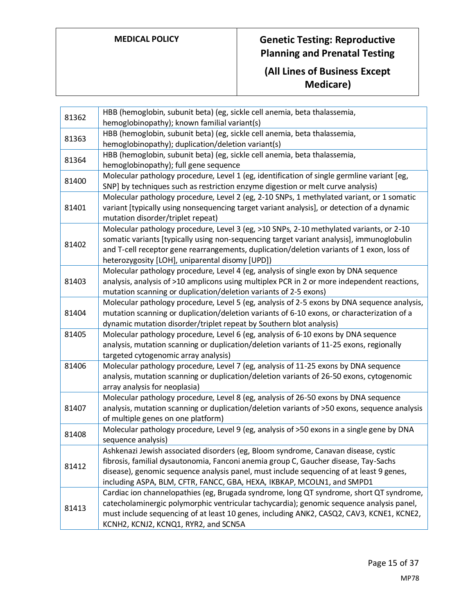| HBB (hemoglobin, subunit beta) (eg, sickle cell anemia, beta thalassemia,<br>81363<br>hemoglobinopathy); duplication/deletion variant(s)<br>HBB (hemoglobin, subunit beta) (eg, sickle cell anemia, beta thalassemia,<br>81364<br>hemoglobinopathy); full gene sequence<br>Molecular pathology procedure, Level 1 (eg, identification of single germline variant [eg,<br>81400<br>SNP] by techniques such as restriction enzyme digestion or melt curve analysis)<br>Molecular pathology procedure, Level 2 (eg, 2-10 SNPs, 1 methylated variant, or 1 somatic<br>81401<br>variant [typically using nonsequencing target variant analysis], or detection of a dynamic<br>mutation disorder/triplet repeat)<br>Molecular pathology procedure, Level 3 (eg, >10 SNPs, 2-10 methylated variants, or 2-10<br>somatic variants [typically using non-sequencing target variant analysis], immunoglobulin<br>81402<br>and T-cell receptor gene rearrangements, duplication/deletion variants of 1 exon, loss of<br>heterozygosity [LOH], uniparental disomy [UPD])<br>Molecular pathology procedure, Level 4 (eg, analysis of single exon by DNA sequence<br>analysis, analysis of >10 amplicons using multiplex PCR in 2 or more independent reactions,<br>81403<br>mutation scanning or duplication/deletion variants of 2-5 exons)<br>Molecular pathology procedure, Level 5 (eg, analysis of 2-5 exons by DNA sequence analysis,<br>81404<br>mutation scanning or duplication/deletion variants of 6-10 exons, or characterization of a<br>dynamic mutation disorder/triplet repeat by Southern blot analysis)<br>81405<br>Molecular pathology procedure, Level 6 (eg, analysis of 6-10 exons by DNA sequence<br>analysis, mutation scanning or duplication/deletion variants of 11-25 exons, regionally<br>targeted cytogenomic array analysis)<br>Molecular pathology procedure, Level 7 (eg, analysis of 11-25 exons by DNA sequence<br>81406<br>analysis, mutation scanning or duplication/deletion variants of 26-50 exons, cytogenomic<br>array analysis for neoplasia)<br>Molecular pathology procedure, Level 8 (eg, analysis of 26-50 exons by DNA sequence<br>analysis, mutation scanning or duplication/deletion variants of >50 exons, sequence analysis<br>81407<br>of multiple genes on one platform)<br>Molecular pathology procedure, Level 9 (eg, analysis of >50 exons in a single gene by DNA<br>81408<br>sequence analysis)<br>Ashkenazi Jewish associated disorders (eg, Bloom syndrome, Canavan disease, cystic<br>fibrosis, familial dysautonomia, Fanconi anemia group C, Gaucher disease, Tay-Sachs<br>81412<br>disease), genomic sequence analysis panel, must include sequencing of at least 9 genes,<br>including ASPA, BLM, CFTR, FANCC, GBA, HEXA, IKBKAP, MCOLN1, and SMPD1<br>Cardiac ion channelopathies (eg, Brugada syndrome, long QT syndrome, short QT syndrome,<br>catecholaminergic polymorphic ventricular tachycardia); genomic sequence analysis panel,<br>81413<br>must include sequencing of at least 10 genes, including ANK2, CASQ2, CAV3, KCNE1, KCNE2,<br>KCNH2, KCNJ2, KCNQ1, RYR2, and SCN5A | 81362 | HBB (hemoglobin, subunit beta) (eg, sickle cell anemia, beta thalassemia, |
|---------------------------------------------------------------------------------------------------------------------------------------------------------------------------------------------------------------------------------------------------------------------------------------------------------------------------------------------------------------------------------------------------------------------------------------------------------------------------------------------------------------------------------------------------------------------------------------------------------------------------------------------------------------------------------------------------------------------------------------------------------------------------------------------------------------------------------------------------------------------------------------------------------------------------------------------------------------------------------------------------------------------------------------------------------------------------------------------------------------------------------------------------------------------------------------------------------------------------------------------------------------------------------------------------------------------------------------------------------------------------------------------------------------------------------------------------------------------------------------------------------------------------------------------------------------------------------------------------------------------------------------------------------------------------------------------------------------------------------------------------------------------------------------------------------------------------------------------------------------------------------------------------------------------------------------------------------------------------------------------------------------------------------------------------------------------------------------------------------------------------------------------------------------------------------------------------------------------------------------------------------------------------------------------------------------------------------------------------------------------------------------------------------------------------------------------------------------------------------------------------------------------------------------------------------------------------------------------------------------------------------------------------------------------------------------------------------------------------------------------------------------------------------------------------------------------------------------------------------------------------------------------------------------------------------------------------------------------------------------------------------------------------------------------------------------------------------------------------------------------------------------------|-------|---------------------------------------------------------------------------|
|                                                                                                                                                                                                                                                                                                                                                                                                                                                                                                                                                                                                                                                                                                                                                                                                                                                                                                                                                                                                                                                                                                                                                                                                                                                                                                                                                                                                                                                                                                                                                                                                                                                                                                                                                                                                                                                                                                                                                                                                                                                                                                                                                                                                                                                                                                                                                                                                                                                                                                                                                                                                                                                                                                                                                                                                                                                                                                                                                                                                                                                                                                                                             |       | hemoglobinopathy); known familial variant(s)                              |
|                                                                                                                                                                                                                                                                                                                                                                                                                                                                                                                                                                                                                                                                                                                                                                                                                                                                                                                                                                                                                                                                                                                                                                                                                                                                                                                                                                                                                                                                                                                                                                                                                                                                                                                                                                                                                                                                                                                                                                                                                                                                                                                                                                                                                                                                                                                                                                                                                                                                                                                                                                                                                                                                                                                                                                                                                                                                                                                                                                                                                                                                                                                                             |       |                                                                           |
|                                                                                                                                                                                                                                                                                                                                                                                                                                                                                                                                                                                                                                                                                                                                                                                                                                                                                                                                                                                                                                                                                                                                                                                                                                                                                                                                                                                                                                                                                                                                                                                                                                                                                                                                                                                                                                                                                                                                                                                                                                                                                                                                                                                                                                                                                                                                                                                                                                                                                                                                                                                                                                                                                                                                                                                                                                                                                                                                                                                                                                                                                                                                             |       |                                                                           |
|                                                                                                                                                                                                                                                                                                                                                                                                                                                                                                                                                                                                                                                                                                                                                                                                                                                                                                                                                                                                                                                                                                                                                                                                                                                                                                                                                                                                                                                                                                                                                                                                                                                                                                                                                                                                                                                                                                                                                                                                                                                                                                                                                                                                                                                                                                                                                                                                                                                                                                                                                                                                                                                                                                                                                                                                                                                                                                                                                                                                                                                                                                                                             |       |                                                                           |
|                                                                                                                                                                                                                                                                                                                                                                                                                                                                                                                                                                                                                                                                                                                                                                                                                                                                                                                                                                                                                                                                                                                                                                                                                                                                                                                                                                                                                                                                                                                                                                                                                                                                                                                                                                                                                                                                                                                                                                                                                                                                                                                                                                                                                                                                                                                                                                                                                                                                                                                                                                                                                                                                                                                                                                                                                                                                                                                                                                                                                                                                                                                                             |       |                                                                           |
|                                                                                                                                                                                                                                                                                                                                                                                                                                                                                                                                                                                                                                                                                                                                                                                                                                                                                                                                                                                                                                                                                                                                                                                                                                                                                                                                                                                                                                                                                                                                                                                                                                                                                                                                                                                                                                                                                                                                                                                                                                                                                                                                                                                                                                                                                                                                                                                                                                                                                                                                                                                                                                                                                                                                                                                                                                                                                                                                                                                                                                                                                                                                             |       |                                                                           |
|                                                                                                                                                                                                                                                                                                                                                                                                                                                                                                                                                                                                                                                                                                                                                                                                                                                                                                                                                                                                                                                                                                                                                                                                                                                                                                                                                                                                                                                                                                                                                                                                                                                                                                                                                                                                                                                                                                                                                                                                                                                                                                                                                                                                                                                                                                                                                                                                                                                                                                                                                                                                                                                                                                                                                                                                                                                                                                                                                                                                                                                                                                                                             |       |                                                                           |
|                                                                                                                                                                                                                                                                                                                                                                                                                                                                                                                                                                                                                                                                                                                                                                                                                                                                                                                                                                                                                                                                                                                                                                                                                                                                                                                                                                                                                                                                                                                                                                                                                                                                                                                                                                                                                                                                                                                                                                                                                                                                                                                                                                                                                                                                                                                                                                                                                                                                                                                                                                                                                                                                                                                                                                                                                                                                                                                                                                                                                                                                                                                                             |       |                                                                           |
|                                                                                                                                                                                                                                                                                                                                                                                                                                                                                                                                                                                                                                                                                                                                                                                                                                                                                                                                                                                                                                                                                                                                                                                                                                                                                                                                                                                                                                                                                                                                                                                                                                                                                                                                                                                                                                                                                                                                                                                                                                                                                                                                                                                                                                                                                                                                                                                                                                                                                                                                                                                                                                                                                                                                                                                                                                                                                                                                                                                                                                                                                                                                             |       |                                                                           |
|                                                                                                                                                                                                                                                                                                                                                                                                                                                                                                                                                                                                                                                                                                                                                                                                                                                                                                                                                                                                                                                                                                                                                                                                                                                                                                                                                                                                                                                                                                                                                                                                                                                                                                                                                                                                                                                                                                                                                                                                                                                                                                                                                                                                                                                                                                                                                                                                                                                                                                                                                                                                                                                                                                                                                                                                                                                                                                                                                                                                                                                                                                                                             |       |                                                                           |
|                                                                                                                                                                                                                                                                                                                                                                                                                                                                                                                                                                                                                                                                                                                                                                                                                                                                                                                                                                                                                                                                                                                                                                                                                                                                                                                                                                                                                                                                                                                                                                                                                                                                                                                                                                                                                                                                                                                                                                                                                                                                                                                                                                                                                                                                                                                                                                                                                                                                                                                                                                                                                                                                                                                                                                                                                                                                                                                                                                                                                                                                                                                                             |       |                                                                           |
|                                                                                                                                                                                                                                                                                                                                                                                                                                                                                                                                                                                                                                                                                                                                                                                                                                                                                                                                                                                                                                                                                                                                                                                                                                                                                                                                                                                                                                                                                                                                                                                                                                                                                                                                                                                                                                                                                                                                                                                                                                                                                                                                                                                                                                                                                                                                                                                                                                                                                                                                                                                                                                                                                                                                                                                                                                                                                                                                                                                                                                                                                                                                             |       |                                                                           |
|                                                                                                                                                                                                                                                                                                                                                                                                                                                                                                                                                                                                                                                                                                                                                                                                                                                                                                                                                                                                                                                                                                                                                                                                                                                                                                                                                                                                                                                                                                                                                                                                                                                                                                                                                                                                                                                                                                                                                                                                                                                                                                                                                                                                                                                                                                                                                                                                                                                                                                                                                                                                                                                                                                                                                                                                                                                                                                                                                                                                                                                                                                                                             |       |                                                                           |
|                                                                                                                                                                                                                                                                                                                                                                                                                                                                                                                                                                                                                                                                                                                                                                                                                                                                                                                                                                                                                                                                                                                                                                                                                                                                                                                                                                                                                                                                                                                                                                                                                                                                                                                                                                                                                                                                                                                                                                                                                                                                                                                                                                                                                                                                                                                                                                                                                                                                                                                                                                                                                                                                                                                                                                                                                                                                                                                                                                                                                                                                                                                                             |       |                                                                           |
|                                                                                                                                                                                                                                                                                                                                                                                                                                                                                                                                                                                                                                                                                                                                                                                                                                                                                                                                                                                                                                                                                                                                                                                                                                                                                                                                                                                                                                                                                                                                                                                                                                                                                                                                                                                                                                                                                                                                                                                                                                                                                                                                                                                                                                                                                                                                                                                                                                                                                                                                                                                                                                                                                                                                                                                                                                                                                                                                                                                                                                                                                                                                             |       |                                                                           |
|                                                                                                                                                                                                                                                                                                                                                                                                                                                                                                                                                                                                                                                                                                                                                                                                                                                                                                                                                                                                                                                                                                                                                                                                                                                                                                                                                                                                                                                                                                                                                                                                                                                                                                                                                                                                                                                                                                                                                                                                                                                                                                                                                                                                                                                                                                                                                                                                                                                                                                                                                                                                                                                                                                                                                                                                                                                                                                                                                                                                                                                                                                                                             |       |                                                                           |
|                                                                                                                                                                                                                                                                                                                                                                                                                                                                                                                                                                                                                                                                                                                                                                                                                                                                                                                                                                                                                                                                                                                                                                                                                                                                                                                                                                                                                                                                                                                                                                                                                                                                                                                                                                                                                                                                                                                                                                                                                                                                                                                                                                                                                                                                                                                                                                                                                                                                                                                                                                                                                                                                                                                                                                                                                                                                                                                                                                                                                                                                                                                                             |       |                                                                           |
|                                                                                                                                                                                                                                                                                                                                                                                                                                                                                                                                                                                                                                                                                                                                                                                                                                                                                                                                                                                                                                                                                                                                                                                                                                                                                                                                                                                                                                                                                                                                                                                                                                                                                                                                                                                                                                                                                                                                                                                                                                                                                                                                                                                                                                                                                                                                                                                                                                                                                                                                                                                                                                                                                                                                                                                                                                                                                                                                                                                                                                                                                                                                             |       |                                                                           |
|                                                                                                                                                                                                                                                                                                                                                                                                                                                                                                                                                                                                                                                                                                                                                                                                                                                                                                                                                                                                                                                                                                                                                                                                                                                                                                                                                                                                                                                                                                                                                                                                                                                                                                                                                                                                                                                                                                                                                                                                                                                                                                                                                                                                                                                                                                                                                                                                                                                                                                                                                                                                                                                                                                                                                                                                                                                                                                                                                                                                                                                                                                                                             |       |                                                                           |
|                                                                                                                                                                                                                                                                                                                                                                                                                                                                                                                                                                                                                                                                                                                                                                                                                                                                                                                                                                                                                                                                                                                                                                                                                                                                                                                                                                                                                                                                                                                                                                                                                                                                                                                                                                                                                                                                                                                                                                                                                                                                                                                                                                                                                                                                                                                                                                                                                                                                                                                                                                                                                                                                                                                                                                                                                                                                                                                                                                                                                                                                                                                                             |       |                                                                           |
|                                                                                                                                                                                                                                                                                                                                                                                                                                                                                                                                                                                                                                                                                                                                                                                                                                                                                                                                                                                                                                                                                                                                                                                                                                                                                                                                                                                                                                                                                                                                                                                                                                                                                                                                                                                                                                                                                                                                                                                                                                                                                                                                                                                                                                                                                                                                                                                                                                                                                                                                                                                                                                                                                                                                                                                                                                                                                                                                                                                                                                                                                                                                             |       |                                                                           |
|                                                                                                                                                                                                                                                                                                                                                                                                                                                                                                                                                                                                                                                                                                                                                                                                                                                                                                                                                                                                                                                                                                                                                                                                                                                                                                                                                                                                                                                                                                                                                                                                                                                                                                                                                                                                                                                                                                                                                                                                                                                                                                                                                                                                                                                                                                                                                                                                                                                                                                                                                                                                                                                                                                                                                                                                                                                                                                                                                                                                                                                                                                                                             |       |                                                                           |
|                                                                                                                                                                                                                                                                                                                                                                                                                                                                                                                                                                                                                                                                                                                                                                                                                                                                                                                                                                                                                                                                                                                                                                                                                                                                                                                                                                                                                                                                                                                                                                                                                                                                                                                                                                                                                                                                                                                                                                                                                                                                                                                                                                                                                                                                                                                                                                                                                                                                                                                                                                                                                                                                                                                                                                                                                                                                                                                                                                                                                                                                                                                                             |       |                                                                           |
|                                                                                                                                                                                                                                                                                                                                                                                                                                                                                                                                                                                                                                                                                                                                                                                                                                                                                                                                                                                                                                                                                                                                                                                                                                                                                                                                                                                                                                                                                                                                                                                                                                                                                                                                                                                                                                                                                                                                                                                                                                                                                                                                                                                                                                                                                                                                                                                                                                                                                                                                                                                                                                                                                                                                                                                                                                                                                                                                                                                                                                                                                                                                             |       |                                                                           |
|                                                                                                                                                                                                                                                                                                                                                                                                                                                                                                                                                                                                                                                                                                                                                                                                                                                                                                                                                                                                                                                                                                                                                                                                                                                                                                                                                                                                                                                                                                                                                                                                                                                                                                                                                                                                                                                                                                                                                                                                                                                                                                                                                                                                                                                                                                                                                                                                                                                                                                                                                                                                                                                                                                                                                                                                                                                                                                                                                                                                                                                                                                                                             |       |                                                                           |
|                                                                                                                                                                                                                                                                                                                                                                                                                                                                                                                                                                                                                                                                                                                                                                                                                                                                                                                                                                                                                                                                                                                                                                                                                                                                                                                                                                                                                                                                                                                                                                                                                                                                                                                                                                                                                                                                                                                                                                                                                                                                                                                                                                                                                                                                                                                                                                                                                                                                                                                                                                                                                                                                                                                                                                                                                                                                                                                                                                                                                                                                                                                                             |       |                                                                           |
|                                                                                                                                                                                                                                                                                                                                                                                                                                                                                                                                                                                                                                                                                                                                                                                                                                                                                                                                                                                                                                                                                                                                                                                                                                                                                                                                                                                                                                                                                                                                                                                                                                                                                                                                                                                                                                                                                                                                                                                                                                                                                                                                                                                                                                                                                                                                                                                                                                                                                                                                                                                                                                                                                                                                                                                                                                                                                                                                                                                                                                                                                                                                             |       |                                                                           |
|                                                                                                                                                                                                                                                                                                                                                                                                                                                                                                                                                                                                                                                                                                                                                                                                                                                                                                                                                                                                                                                                                                                                                                                                                                                                                                                                                                                                                                                                                                                                                                                                                                                                                                                                                                                                                                                                                                                                                                                                                                                                                                                                                                                                                                                                                                                                                                                                                                                                                                                                                                                                                                                                                                                                                                                                                                                                                                                                                                                                                                                                                                                                             |       |                                                                           |
|                                                                                                                                                                                                                                                                                                                                                                                                                                                                                                                                                                                                                                                                                                                                                                                                                                                                                                                                                                                                                                                                                                                                                                                                                                                                                                                                                                                                                                                                                                                                                                                                                                                                                                                                                                                                                                                                                                                                                                                                                                                                                                                                                                                                                                                                                                                                                                                                                                                                                                                                                                                                                                                                                                                                                                                                                                                                                                                                                                                                                                                                                                                                             |       |                                                                           |
|                                                                                                                                                                                                                                                                                                                                                                                                                                                                                                                                                                                                                                                                                                                                                                                                                                                                                                                                                                                                                                                                                                                                                                                                                                                                                                                                                                                                                                                                                                                                                                                                                                                                                                                                                                                                                                                                                                                                                                                                                                                                                                                                                                                                                                                                                                                                                                                                                                                                                                                                                                                                                                                                                                                                                                                                                                                                                                                                                                                                                                                                                                                                             |       |                                                                           |
|                                                                                                                                                                                                                                                                                                                                                                                                                                                                                                                                                                                                                                                                                                                                                                                                                                                                                                                                                                                                                                                                                                                                                                                                                                                                                                                                                                                                                                                                                                                                                                                                                                                                                                                                                                                                                                                                                                                                                                                                                                                                                                                                                                                                                                                                                                                                                                                                                                                                                                                                                                                                                                                                                                                                                                                                                                                                                                                                                                                                                                                                                                                                             |       |                                                                           |
|                                                                                                                                                                                                                                                                                                                                                                                                                                                                                                                                                                                                                                                                                                                                                                                                                                                                                                                                                                                                                                                                                                                                                                                                                                                                                                                                                                                                                                                                                                                                                                                                                                                                                                                                                                                                                                                                                                                                                                                                                                                                                                                                                                                                                                                                                                                                                                                                                                                                                                                                                                                                                                                                                                                                                                                                                                                                                                                                                                                                                                                                                                                                             |       |                                                                           |
|                                                                                                                                                                                                                                                                                                                                                                                                                                                                                                                                                                                                                                                                                                                                                                                                                                                                                                                                                                                                                                                                                                                                                                                                                                                                                                                                                                                                                                                                                                                                                                                                                                                                                                                                                                                                                                                                                                                                                                                                                                                                                                                                                                                                                                                                                                                                                                                                                                                                                                                                                                                                                                                                                                                                                                                                                                                                                                                                                                                                                                                                                                                                             |       |                                                                           |
|                                                                                                                                                                                                                                                                                                                                                                                                                                                                                                                                                                                                                                                                                                                                                                                                                                                                                                                                                                                                                                                                                                                                                                                                                                                                                                                                                                                                                                                                                                                                                                                                                                                                                                                                                                                                                                                                                                                                                                                                                                                                                                                                                                                                                                                                                                                                                                                                                                                                                                                                                                                                                                                                                                                                                                                                                                                                                                                                                                                                                                                                                                                                             |       |                                                                           |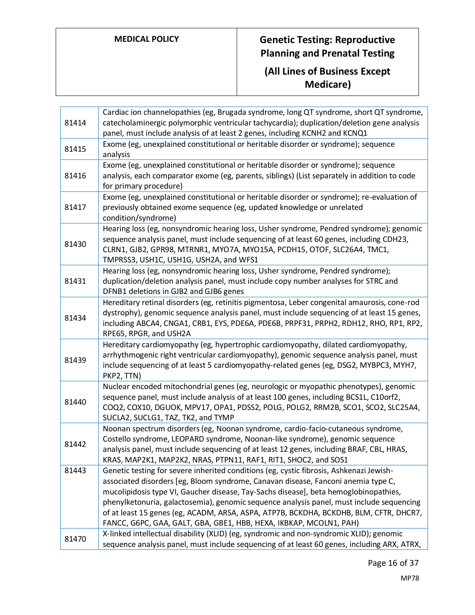| 81414 | Cardiac ion channelopathies (eg, Brugada syndrome, long QT syndrome, short QT syndrome,<br>catecholaminergic polymorphic ventricular tachycardia); duplication/deletion gene analysis<br>panel, must include analysis of at least 2 genes, including KCNH2 and KCNQ1                                                                                                                                                                                                                                                            |
|-------|---------------------------------------------------------------------------------------------------------------------------------------------------------------------------------------------------------------------------------------------------------------------------------------------------------------------------------------------------------------------------------------------------------------------------------------------------------------------------------------------------------------------------------|
| 81415 | Exome (eg, unexplained constitutional or heritable disorder or syndrome); sequence<br>analysis                                                                                                                                                                                                                                                                                                                                                                                                                                  |
| 81416 | Exome (eg, unexplained constitutional or heritable disorder or syndrome); sequence<br>analysis, each comparator exome (eg, parents, siblings) (List separately in addition to code<br>for primary procedure)                                                                                                                                                                                                                                                                                                                    |
| 81417 | Exome (eg, unexplained constitutional or heritable disorder or syndrome); re-evaluation of<br>previously obtained exome sequence (eg, updated knowledge or unrelated<br>condition/syndrome)                                                                                                                                                                                                                                                                                                                                     |
| 81430 | Hearing loss (eg, nonsyndromic hearing loss, Usher syndrome, Pendred syndrome); genomic<br>sequence analysis panel, must include sequencing of at least 60 genes, including CDH23,<br>CLRN1, GJB2, GPR98, MTRNR1, MYO7A, MYO15A, PCDH15, OTOF, SLC26A4, TMC1,<br>TMPRSS3, USH1C, USH1G, USH2A, and WFS1                                                                                                                                                                                                                         |
| 81431 | Hearing loss (eg, nonsyndromic hearing loss, Usher syndrome, Pendred syndrome);<br>duplication/deletion analysis panel, must include copy number analyses for STRC and<br>DFNB1 deletions in GJB2 and GJB6 genes                                                                                                                                                                                                                                                                                                                |
| 81434 | Hereditary retinal disorders (eg, retinitis pigmentosa, Leber congenital amaurosis, cone-rod<br>dystrophy), genomic sequence analysis panel, must include sequencing of at least 15 genes,<br>including ABCA4, CNGA1, CRB1, EYS, PDE6A, PDE6B, PRPF31, PRPH2, RDH12, RHO, RP1, RP2,<br>RPE65, RPGR, and USH2A                                                                                                                                                                                                                   |
| 81439 | Hereditary cardiomyopathy (eg, hypertrophic cardiomyopathy, dilated cardiomyopathy,<br>arrhythmogenic right ventricular cardiomyopathy), genomic sequence analysis panel, must<br>include sequencing of at least 5 cardiomyopathy-related genes (eg, DSG2, MYBPC3, MYH7,<br>PKP2, TTN)                                                                                                                                                                                                                                          |
| 81440 | Nuclear encoded mitochondrial genes (eg, neurologic or myopathic phenotypes), genomic<br>sequence panel, must include analysis of at least 100 genes, including BCS1L, C10orf2,<br>COQ2, COX10, DGUOK, MPV17, OPA1, PDSS2, POLG, POLG2, RRM2B, SCO1, SCO2, SLC25A4,<br>SUCLA2, SUCLG1, TAZ, TK2, and TYMP                                                                                                                                                                                                                       |
| 81442 | Noonan spectrum disorders (eg, Noonan syndrome, cardio-facio-cutaneous syndrome,<br>Costello syndrome, LEOPARD syndrome, Noonan-like syndrome), genomic sequence<br>analysis panel, must include sequencing of at least 12 genes, including BRAF, CBL, HRAS,<br>KRAS, MAP2K1, MAP2K2, NRAS, PTPN11, RAF1, RIT1, SHOC2, and SOS1                                                                                                                                                                                                 |
| 81443 | Genetic testing for severe inherited conditions (eg, cystic fibrosis, Ashkenazi Jewish-<br>associated disorders [eg, Bloom syndrome, Canavan disease, Fanconi anemia type C,<br>mucolipidosis type VI, Gaucher disease, Tay-Sachs disease], beta hemoglobinopathies,<br>phenylketonuria, galactosemia), genomic sequence analysis panel, must include sequencing<br>of at least 15 genes (eg, ACADM, ARSA, ASPA, ATP7B, BCKDHA, BCKDHB, BLM, CFTR, DHCR7,<br>FANCC, G6PC, GAA, GALT, GBA, GBE1, HBB, HEXA, IKBKAP, MCOLN1, PAH) |
| 81470 | X-linked intellectual disability (XLID) (eg, syndromic and non-syndromic XLID); genomic<br>sequence analysis panel, must include sequencing of at least 60 genes, including ARX, ATRX,                                                                                                                                                                                                                                                                                                                                          |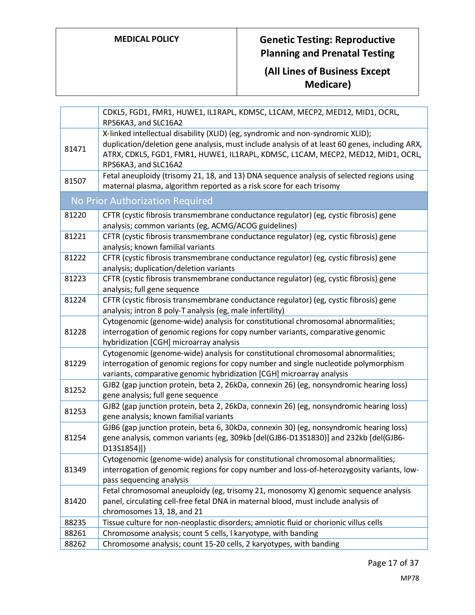|       | CDKL5, FGD1, FMR1, HUWE1, IL1RAPL, KDM5C, L1CAM, MECP2, MED12, MID1, OCRL,<br>RPS6KA3, and SLC16A2                                                                                                                                               |
|-------|--------------------------------------------------------------------------------------------------------------------------------------------------------------------------------------------------------------------------------------------------|
|       | X-linked intellectual disability (XLID) (eg, syndromic and non-syndromic XLID);                                                                                                                                                                  |
| 81471 | duplication/deletion gene analysis, must include analysis of at least 60 genes, including ARX,<br>ATRX, CDKL5, FGD1, FMR1, HUWE1, IL1RAPL, KDM5C, L1CAM, MECP2, MED12, MID1, OCRL,<br>RPS6KA3, and SLC16A2                                       |
| 81507 | Fetal aneuploidy (trisomy 21, 18, and 13) DNA sequence analysis of selected regions using<br>maternal plasma, algorithm reported as a risk score for each trisomy                                                                                |
|       | No Prior Authorization Required                                                                                                                                                                                                                  |
| 81220 | CFTR (cystic fibrosis transmembrane conductance regulator) (eg, cystic fibrosis) gene<br>analysis; common variants (eg, ACMG/ACOG guidelines)                                                                                                    |
| 81221 | CFTR (cystic fibrosis transmembrane conductance regulator) (eg, cystic fibrosis) gene<br>analysis; known familial variants                                                                                                                       |
| 81222 | CFTR (cystic fibrosis transmembrane conductance regulator) (eg, cystic fibrosis) gene<br>analysis; duplication/deletion variants                                                                                                                 |
| 81223 | CFTR (cystic fibrosis transmembrane conductance regulator) (eg, cystic fibrosis) gene<br>analysis; full gene sequence                                                                                                                            |
| 81224 | CFTR (cystic fibrosis transmembrane conductance regulator) (eg, cystic fibrosis) gene<br>analysis; intron 8 poly-T analysis (eg, male infertility)                                                                                               |
| 81228 | Cytogenomic (genome-wide) analysis for constitutional chromosomal abnormalities;<br>interrogation of genomic regions for copy number variants, comparative genomic<br>hybridization [CGH] microarray analysis                                    |
| 81229 | Cytogenomic (genome-wide) analysis for constitutional chromosomal abnormalities;<br>interrogation of genomic regions for copy number and single nucleotide polymorphism<br>variants, comparative genomic hybridization [CGH] microarray analysis |
| 81252 | GJB2 (gap junction protein, beta 2, 26kDa, connexin 26) (eg, nonsyndromic hearing loss)<br>gene analysis; full gene sequence                                                                                                                     |
| 81253 | GJB2 (gap junction protein, beta 2, 26kDa, connexin 26) (eg, nonsyndromic hearing loss)<br>gene analysis; known familial variants                                                                                                                |
| 81254 | GJB6 (gap junction protein, beta 6, 30kDa, connexin 30) (eg, nonsyndromic hearing loss)<br>gene analysis, common variants (eg, 309kb [del(GJB6-D13S1830)] and 232kb [del(GJB6-<br>D13S1854)])                                                    |
| 81349 | Cytogenomic (genome-wide) analysis for constitutional chromosomal abnormalities;<br>interrogation of genomic regions for copy number and loss-of-heterozygosity variants, low-<br>pass sequencing analysis                                       |
| 81420 | Fetal chromosomal aneuploidy (eg, trisomy 21, monosomy X) genomic sequence analysis<br>panel, circulating cell-free fetal DNA in maternal blood, must include analysis of<br>chromosomes 13, 18, and 21                                          |
| 88235 | Tissue culture for non-neoplastic disorders; amniotic fluid or chorionic villus cells                                                                                                                                                            |
| 88261 | Chromosome analysis; count 5 cells, I karyotype, with banding                                                                                                                                                                                    |
| 88262 | Chromosome analysis; count 15-20 cells, 2 karyotypes, with banding                                                                                                                                                                               |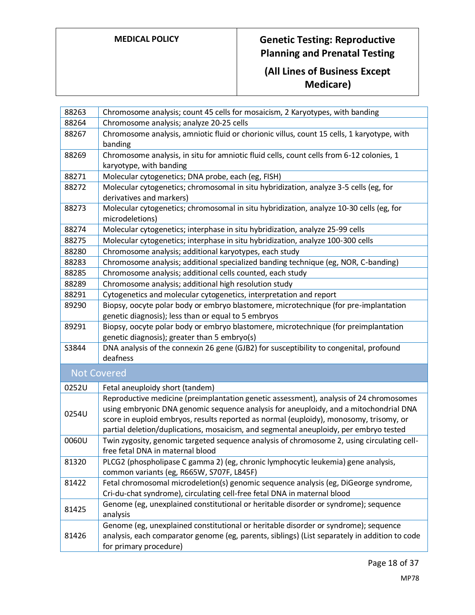| 88263 | Chromosome analysis; count 45 cells for mosaicism, 2 Karyotypes, with banding                                                                                                                                                                                                                                                                                      |
|-------|--------------------------------------------------------------------------------------------------------------------------------------------------------------------------------------------------------------------------------------------------------------------------------------------------------------------------------------------------------------------|
| 88264 | Chromosome analysis; analyze 20-25 cells                                                                                                                                                                                                                                                                                                                           |
| 88267 | Chromosome analysis, amniotic fluid or chorionic villus, count 15 cells, 1 karyotype, with<br>banding                                                                                                                                                                                                                                                              |
| 88269 | Chromosome analysis, in situ for amniotic fluid cells, count cells from 6-12 colonies, 1<br>karyotype, with banding                                                                                                                                                                                                                                                |
| 88271 | Molecular cytogenetics; DNA probe, each (eg, FISH)                                                                                                                                                                                                                                                                                                                 |
| 88272 | Molecular cytogenetics; chromosomal in situ hybridization, analyze 3-5 cells (eg, for<br>derivatives and markers)                                                                                                                                                                                                                                                  |
| 88273 | Molecular cytogenetics; chromosomal in situ hybridization, analyze 10-30 cells (eg, for<br>microdeletions)                                                                                                                                                                                                                                                         |
| 88274 | Molecular cytogenetics; interphase in situ hybridization, analyze 25-99 cells                                                                                                                                                                                                                                                                                      |
| 88275 | Molecular cytogenetics; interphase in situ hybridization, analyze 100-300 cells                                                                                                                                                                                                                                                                                    |
| 88280 | Chromosome analysis; additional karyotypes, each study                                                                                                                                                                                                                                                                                                             |
| 88283 | Chromosome analysis; additional specialized banding technique (eg, NOR, C-banding)                                                                                                                                                                                                                                                                                 |
| 88285 | Chromosome analysis; additional cells counted, each study                                                                                                                                                                                                                                                                                                          |
| 88289 | Chromosome analysis; additional high resolution study                                                                                                                                                                                                                                                                                                              |
| 88291 | Cytogenetics and molecular cytogenetics, interpretation and report                                                                                                                                                                                                                                                                                                 |
| 89290 | Biopsy, oocyte polar body or embryo blastomere, microtechnique (for pre-implantation                                                                                                                                                                                                                                                                               |
|       | genetic diagnosis); less than or equal to 5 embryos                                                                                                                                                                                                                                                                                                                |
| 89291 | Biopsy, oocyte polar body or embryo blastomere, microtechnique (for preimplantation                                                                                                                                                                                                                                                                                |
|       | genetic diagnosis); greater than 5 embryo(s)                                                                                                                                                                                                                                                                                                                       |
| S3844 | DNA analysis of the connexin 26 gene (GJB2) for susceptibility to congenital, profound                                                                                                                                                                                                                                                                             |
|       | deafness                                                                                                                                                                                                                                                                                                                                                           |
|       | <b>Not Covered</b>                                                                                                                                                                                                                                                                                                                                                 |
| 0252U | Fetal aneuploidy short (tandem)                                                                                                                                                                                                                                                                                                                                    |
| 0254U | Reproductive medicine (preimplantation genetic assessment), analysis of 24 chromosomes<br>using embryonic DNA genomic sequence analysis for aneuploidy, and a mitochondrial DNA<br>score in euploid embryos, results reported as normal (euploidy), monosomy, trisomy, or<br>partial deletion/duplications, mosaicism, and segmental aneuploidy, per embryo tested |
| 0060U | Twin zygosity, genomic targeted sequence analysis of chromosome 2, using circulating cell-<br>free fetal DNA in maternal blood                                                                                                                                                                                                                                     |
| 81320 | PLCG2 (phospholipase C gamma 2) (eg, chronic lymphocytic leukemia) gene analysis,<br>common variants (eg, R665W, S707F, L845F)                                                                                                                                                                                                                                     |
| 81422 | Fetal chromosomal microdeletion(s) genomic sequence analysis (eg, DiGeorge syndrome,<br>Cri-du-chat syndrome), circulating cell-free fetal DNA in maternal blood                                                                                                                                                                                                   |
| 81425 | Genome (eg, unexplained constitutional or heritable disorder or syndrome); sequence<br>analysis                                                                                                                                                                                                                                                                    |
| 81426 | Genome (eg, unexplained constitutional or heritable disorder or syndrome); sequence<br>analysis, each comparator genome (eg, parents, siblings) (List separately in addition to code<br>for primary procedure)                                                                                                                                                     |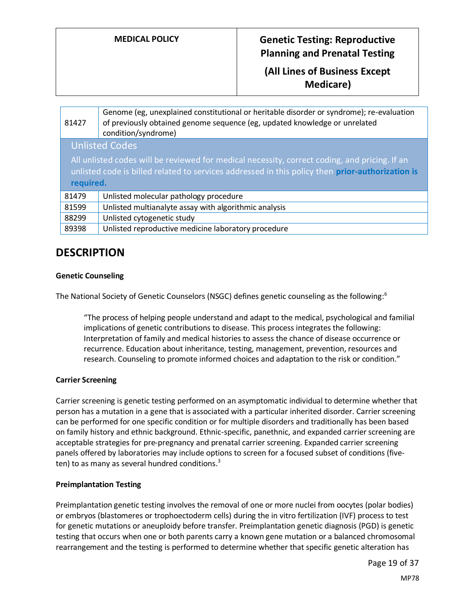**(All Lines of Business Except Medicare)**

| 81427                                                                                                                                                                                                          | Genome (eg, unexplained constitutional or heritable disorder or syndrome); re-evaluation<br>of previously obtained genome sequence (eg, updated knowledge or unrelated<br>condition/syndrome) |  |
|----------------------------------------------------------------------------------------------------------------------------------------------------------------------------------------------------------------|-----------------------------------------------------------------------------------------------------------------------------------------------------------------------------------------------|--|
|                                                                                                                                                                                                                | <b>Unlisted Codes</b>                                                                                                                                                                         |  |
| All unlisted codes will be reviewed for medical necessity, correct coding, and pricing. If an<br>unlisted code is billed related to services addressed in this policy then prior-authorization is<br>required. |                                                                                                                                                                                               |  |
| 81479                                                                                                                                                                                                          | Unlisted molecular pathology procedure                                                                                                                                                        |  |
| 81599                                                                                                                                                                                                          | Unlisted multianalyte assay with algorithmic analysis                                                                                                                                         |  |
| 88299                                                                                                                                                                                                          | Unlisted cytogenetic study                                                                                                                                                                    |  |
| 89398                                                                                                                                                                                                          | Unlisted reproductive medicine laboratory procedure                                                                                                                                           |  |

# **DESCRIPTION**

### **Genetic Counseling**

The National Society of Genetic Counselors (NSGC) defines genetic counseling as the following:<sup>6</sup>

"The process of helping people understand and adapt to the medical, psychological and familial implications of genetic contributions to disease. This process integrates the following: Interpretation of family and medical histories to assess the chance of disease occurrence or recurrence. Education about inheritance, testing, management, prevention, resources and research. Counseling to promote informed choices and adaptation to the risk or condition."

#### <span id="page-18-0"></span>**Carrier Screening**

Carrier screening is genetic testing performed on an asymptomatic individual to determine whether that person has a mutation in a gene that is associated with a particular inherited disorder. Carrier screening can be performed for one specific condition or for multiple disorders and traditionally has been based on family history and ethnic background. Ethnic-specific, panethnic, and expanded carrier screening are acceptable strategies for pre-pregnancy and prenatal carrier screening. Expanded carrier screening panels offered by laboratories may include options to screen for a focused subset of conditions (fiveten) to as many as several hundred conditions.<sup>3</sup>

#### <span id="page-18-1"></span>**Preimplantation Testing**

<span id="page-18-2"></span>Preimplantation genetic testing involves the removal of one or more nuclei from oocytes (polar bodies) or embryos (blastomeres or trophoectoderm cells) during the in vitro fertilization (IVF) process to test for genetic mutations or aneuploidy before transfer. Preimplantation genetic diagnosis (PGD) is genetic testing that occurs when one or both parents carry a known gene mutation or a balanced chromosomal rearrangement and the testing is performed to determine whether that specific genetic alteration has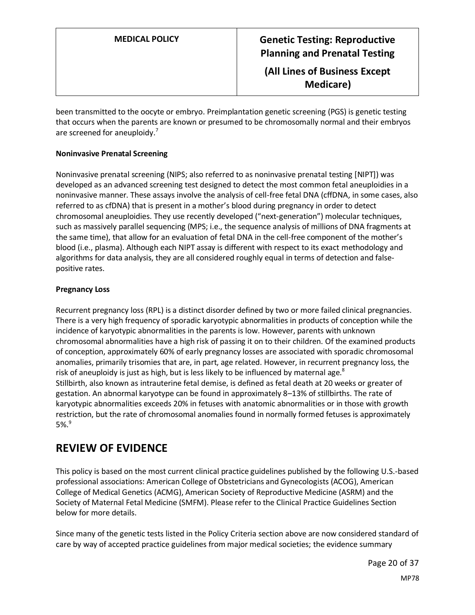<span id="page-19-0"></span>**(All Lines of Business Except Medicare)**

been transmitted to the oocyte or embryo. Preimplantation genetic screening (PGS) is genetic testing that occurs when the parents are known or presumed to be chromosomally normal and their embryos are screened for aneuploidy.<sup>7</sup>

### <span id="page-19-1"></span>**Noninvasive Prenatal Screening**

Noninvasive prenatal screening (NIPS; also referred to as noninvasive prenatal testing [NIPT]) was developed as an advanced screening test designed to detect the most common fetal aneuploidies in a noninvasive manner. These assays involve the analysis of cell-free fetal DNA (cffDNA, in some cases, also referred to as cfDNA) that is present in a mother's blood during pregnancy in order to detect chromosomal aneuploidies. They use recently developed ("next-generation") molecular techniques, such as massively parallel sequencing (MPS; i.e., the sequence analysis of millions of DNA fragments at the same time), that allow for an evaluation of fetal DNA in the cell-free component of the mother's blood (i.e., plasma). Although each NIPT assay is different with respect to its exact methodology and algorithms for data analysis, they are all considered roughly equal in terms of detection and falsepositive rates.

### <span id="page-19-2"></span>**Pregnancy Loss**

Recurrent pregnancy loss (RPL) is a distinct disorder defined by two or more failed clinical pregnancies. There is a very high frequency of sporadic karyotypic abnormalities in products of conception while the incidence of karyotypic abnormalities in the parents is low. However, parents with unknown chromosomal abnormalities have a high risk of passing it on to their children. Of the examined products of conception, approximately 60% of early pregnancy losses are associated with sporadic chromosomal anomalies, primarily trisomies that are, in part, age related. However, in recurrent pregnancy loss, the risk of aneuploidy is just as high, but is less likely to be influenced by maternal age. $^8$ Stillbirth, also known as intrauterine fetal demise, is defined as fetal death at 20 weeks or greater of gestation. An abnormal karyotype can be found in approximately 8–13% of stillbirths. The rate of karyotypic abnormalities exceeds 20% in fetuses with anatomic abnormalities or in those with growth restriction, but the rate of chromosomal anomalies found in normally formed fetuses is approximately  $5\%$ . $^9$ 

## **REVIEW OF EVIDENCE**

This policy is based on the most current clinical practice guidelines published by the following U.S.-based professional associations: American College of Obstetricians and Gynecologists (ACOG), American College of Medical Genetics (ACMG), American Society of Reproductive Medicine (ASRM) and the Society of Maternal Fetal Medicine (SMFM). Please refer to the Clinical Practice Guidelines Section below for more details.

Since many of the genetic tests listed in the Policy Criteria section above are now considered standard of care by way of accepted practice guidelines from major medical societies; the evidence summary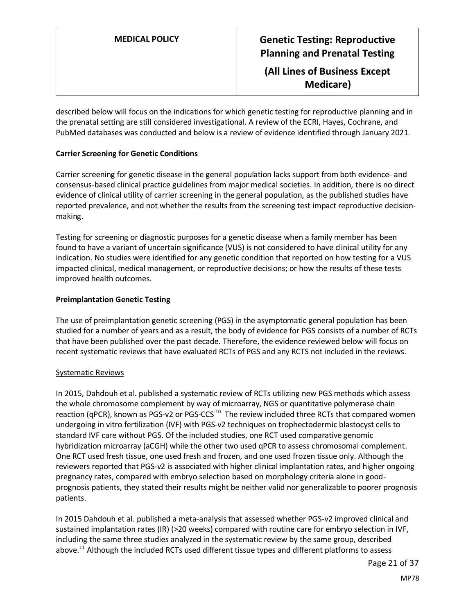described below will focus on the indications for which genetic testing for reproductive planning and in the prenatal setting are still considered investigational. A review of the ECRI, Hayes, Cochrane, and

#### **Carrier Screening for Genetic Conditions**

Carrier screening for genetic disease in the general population lacks support from both evidence- and consensus-based clinical practice guidelines from major medical societies. In addition, there is no direct evidence of clinical utility of carrier screening in the general population, as the published studies have reported prevalence, and not whether the results from the screening test impact reproductive decisionmaking.

PubMed databases was conducted and below is a review of evidence identified through January 2021.

Testing for screening or diagnostic purposes for a genetic disease when a family member has been found to have a variant of uncertain significance (VUS) is not considered to have clinical utility for any indication. No studies were identified for any genetic condition that reported on how testing for a VUS impacted clinical, medical management, or reproductive decisions; or how the results of these tests improved health outcomes.

#### **Preimplantation Genetic Testing**

The use of preimplantation genetic screening (PGS) in the asymptomatic general population has been studied for a number of years and as a result, the body of evidence for PGS consists of a number of RCTs that have been published over the past decade. Therefore, the evidence reviewed below will focus on recent systematic reviews that have evaluated RCTs of PGS and any RCTS not included in the reviews.

#### Systematic Reviews

In 2015, Dahdouh et al. published a systematic review of RCTs utilizing new PGS methods which assess the whole chromosome complement by way of microarray, NGS or quantitative polymerase chain reaction (qPCR), known as PGS-v2 or PGS-CCS<sup>-10</sup> The review included three RCTs that compared women undergoing in vitro fertilization (IVF) with PGS-v2 techniques on trophectodermic blastocyst cells to standard IVF care without PGS. Of the included studies, one RCT used comparative genomic hybridization microarray (aCGH) while the other two used qPCR to assess chromosomal complement. One RCT used fresh tissue, one used fresh and frozen, and one used frozen tissue only. Although the reviewers reported that PGS-v2 is associated with higher clinical implantation rates, and higher ongoing pregnancy rates, compared with embryo selection based on morphology criteria alone in goodprognosis patients, they stated their results might be neither valid nor generalizable to poorer prognosis patients.

In 2015 Dahdouh et al. published a meta-analysis that assessed whether PGS-v2 improved clinical and sustained implantation rates (IR) (>20 weeks) compared with routine care for embryo selection in IVF, including the same three studies analyzed in the systematic review by the same group, described above.<sup>11</sup> Although the included RCTs used different tissue types and different platforms to assess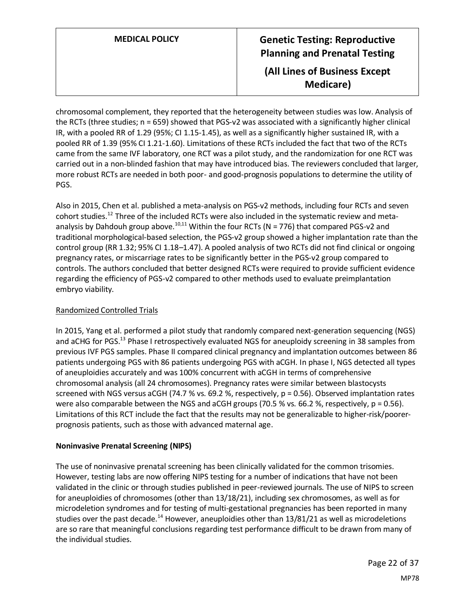**MEDICAL POLICY Genetic Testing: Reproductive Planning and Prenatal Testing (All Lines of Business Except Medicare)**

chromosomal complement, they reported that the heterogeneity between studies was low. Analysis of the RCTs (three studies; n = 659) showed that PGS-v2 was associated with a significantly higher clinical IR, with a pooled RR of 1.29 (95%; CI 1.15-1.45), as well as a significantly higher sustained IR, with a pooled RR of 1.39 (95% CI 1.21-1.60). Limitations of these RCTs included the fact that two of the RCTs came from the same IVF laboratory, one RCT was a pilot study, and the randomization for one RCT was carried out in a non-blinded fashion that may have introduced bias. The reviewers concluded that larger, more robust RCTs are needed in both poor- and good-prognosis populations to determine the utility of PGS.

Also in 2015, Chen et al. published a meta-analysis on PGS-v2 methods, including four RCTs and seven cohort studies.<sup>12</sup> Three of the included RCTs were also included in the systematic review and metaanalysis by Dahdouh group above.<sup>10,11</sup> Within the four RCTs (N = 776) that compared PGS-v2 and traditional morphological-based selection, the PGS-v2 group showed a higher implantation rate than the control group (RR 1.32; 95% CI 1.18–1.47). A pooled analysis of two RCTs did not find clinical or ongoing pregnancy rates, or miscarriage rates to be significantly better in the PGS-v2 group compared to controls. The authors concluded that better designed RCTs were required to provide sufficient evidence regarding the efficiency of PGS-v2 compared to other methods used to evaluate preimplantation embryo viability.

### Randomized Controlled Trials

In 2015, Yang et al. performed a pilot study that randomly compared next-generation sequencing (NGS) and aCHG for PGS.<sup>13</sup> Phase I retrospectively evaluated NGS for aneuploidy screening in 38 samples from previous IVF PGS samples. Phase II compared clinical pregnancy and implantation outcomes between 86 patients undergoing PGS with 86 patients undergoing PGS with aCGH. In phase I, NGS detected all types of aneuploidies accurately and was 100% concurrent with aCGH in terms of comprehensive chromosomal analysis (all 24 chromosomes). Pregnancy rates were similar between blastocysts screened with NGS versus aCGH (74.7 % vs. 69.2 %, respectively, p = 0.56). Observed implantation rates were also comparable between the NGS and aCGH groups (70.5 % vs. 66.2 %, respectively, p = 0.56). Limitations of this RCT include the fact that the results may not be generalizable to higher-risk/poorerprognosis patients, such as those with advanced maternal age.

### **Noninvasive Prenatal Screening (NIPS)**

The use of noninvasive prenatal screening has been clinically validated for the common trisomies. However, testing labs are now offering NIPS testing for a number of indications that have not been validated in the clinic or through studies published in peer-reviewed journals. The use of NIPS to screen for aneuploidies of chromosomes (other than 13/18/21), including sex chromosomes, as well as for microdeletion syndromes and for testing of multi-gestational pregnancies has been reported in many studies over the past decade.<sup>14</sup> However, aneuploidies other than 13/81/21 as well as microdeletions are so rare that meaningful conclusions regarding test performance difficult to be drawn from many of the individual studies.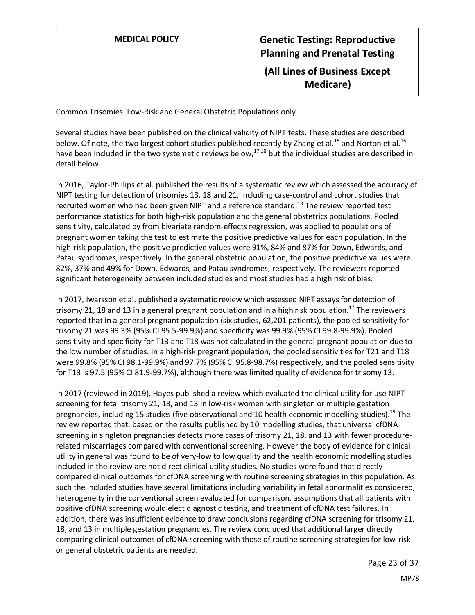# **MEDICAL POLICY Genetic Testing: Reproductive Planning and Prenatal Testing (All Lines of Business Except Medicare)**

#### Common Trisomies: Low-Risk and General Obstetric Populations only

Several studies have been published on the clinical validity of NIPT tests. These studies are described below. Of note, the two largest cohort studies published recently by Zhang et al.<sup>15</sup> and Norton et al.<sup>16</sup> have been included in the two systematic reviews below, $17,18$  but the individual studies are described in detail below.

In 2016, Taylor-Phillips et al. published the results of a systematic review which assessed the accuracy of NIPT testing for detection of trisomies 13, 18 and 21, including case-control and cohort studies that recruited women who had been given NIPT and a reference standard.<sup>18</sup> The review reported test performance statistics for both high-risk population and the general obstetrics populations. Pooled sensitivity, calculated by from bivariate random-effects regression, was applied to populations of pregnant women taking the test to estimate the positive predictive values for each population. In the high-risk population, the positive predictive values were 91%, 84% and 87% for Down, Edwards, and Patau syndromes, respectively. ln the general obstetric population, the positive predictive values were 82%, 37% and 49% for Down, Edwards, and Patau syndromes, respectively. The reviewers reported significant heterogeneity between included studies and most studies had a high risk of bias.

In 2017, Iwarsson et al. published a systematic review which assessed NIPT assays for detection of trisomy 21, 18 and 13 in a general pregnant population and in a high risk population.<sup>17</sup> The reviewers reported that in a general pregnant population (six studies, 62,201 patients), the pooled sensitivity for trisomy 21 was 99.3% (95% CI 95.5-99.9%) and specificity was 99.9% (95% CI 99.8-99.9%). Pooled sensitivity and specificity for T13 and T18 was not calculated in the general pregnant population due to the low number of studies. In a high-risk pregnant population, the pooled sensitivities for T21 and T18 were 99.8% (95% CI 98.1-99.9%) and 97.7% (95% CI 95.8-98.7%) respectively, and the pooled sensitivity for T13 is 97.5 (95% CI 81.9-99.7%), although there was limited quality of evidence for trisomy 13.

In 2017 (reviewed in 2019), Hayes published a review which evaluated the clinical utility for use NIPT screening for fetal trisomy 21, 18, and 13 in low-risk women with singleton or multiple gestation pregnancies, including 15 studies (five observational and 10 health economic modelling studies).<sup>19</sup> The review reported that, based on the results published by 10 modelling studies, that universal cfDNA screening in singleton pregnancies detects more cases of trisomy 21, 18, and 13 with fewer procedurerelated miscarriages compared with conventional screening. However the body of evidence for clinical utility in general was found to be of very-low to low quality and the health economic modelling studies included in the review are not direct clinical utility studies. No studies were found that directly compared clinical outcomes for cfDNA screening with routine screening strategies in this population. As such the included studies have several limitations including variability in fetal abnormalities considered, heterogeneity in the conventional screen evaluated for comparison, assumptions that all patients with positive cfDNA screening would elect diagnostic testing, and treatment of cfDNA test failures. In addition, there was insufficient evidence to draw conclusions regarding cfDNA screening for trisomy 21, 18, and 13 in multiple gestation pregnancies. The review concluded that additional larger directly comparing clinical outcomes of cfDNA screening with those of routine screening strategies for low-risk or general obstetric patients are needed.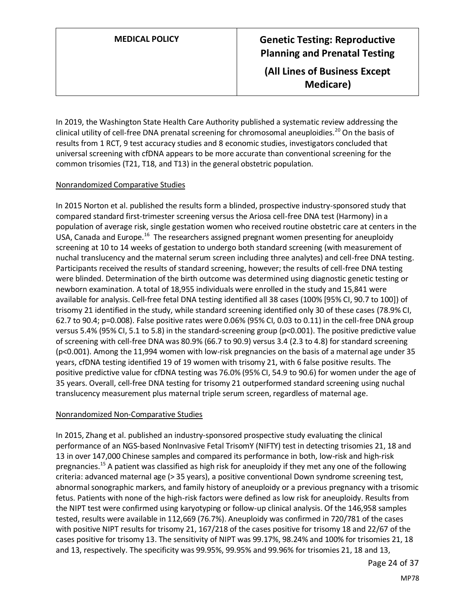**(All Lines of Business Except Medicare)**

In 2019, the Washington State Health Care Authority published a systematic review addressing the clinical utility of cell-free DNA prenatal screening for chromosomal aneuploidies.<sup>20</sup> On the basis of results from 1 RCT, 9 test accuracy studies and 8 economic studies, investigators concluded that universal screening with cfDNA appears to be more accurate than conventional screening for the common trisomies (T21, T18, and T13) in the general obstetric population.

### Nonrandomized Comparative Studies

In 2015 Norton et al. published the results form a blinded, prospective industry-sponsored study that compared standard first-trimester screening versus the Ariosa cell-free DNA test (Harmony) in a population of average risk, single gestation women who received routine obstetric care at centers in the USA, Canada and Europe.<sup>16</sup> The researchers assigned pregnant women presenting for aneuploidy screening at 10 to 14 weeks of gestation to undergo both standard screening (with measurement of nuchal translucency and the maternal serum screen including three analytes) and cell-free DNA testing. Participants received the results of standard screening, however; the results of cell-free DNA testing were blinded. Determination of the birth outcome was determined using diagnostic genetic testing or newborn examination. A total of 18,955 individuals were enrolled in the study and 15,841 were available for analysis. Cell-free fetal DNA testing identified all 38 cases (100% [95% CI, 90.7 to 100]) of trisomy 21 identified in the study, while standard screening identified only 30 of these cases (78.9% CI, 62.7 to 90.4; p=0.008). False positive rates were 0.06% (95% CI, 0.03 to 0.11) in the cell-free DNA group versus 5.4% (95% CI, 5.1 to 5.8) in the standard-screening group (p<0.001). The positive predictive value of screening with cell-free DNA was 80.9% (66.7 to 90.9) versus 3.4 (2.3 to 4.8) for standard screening (p<0.001). Among the 11,994 women with low-risk pregnancies on the basis of a maternal age under 35 years, cfDNA testing identified 19 of 19 women with trisomy 21, with 6 false positive results. The positive predictive value for cfDNA testing was 76.0% (95% CI, 54.9 to 90.6) for women under the age of 35 years. Overall, cell-free DNA testing for trisomy 21 outperformed standard screening using nuchal translucency measurement plus maternal triple serum screen, regardless of maternal age.

### Nonrandomized Non-Comparative Studies

In 2015, Zhang et al. published an industry-sponsored prospective study evaluating the clinical performance of an NGS-based NonInvasive Fetal TrisomY (NIFTY) test in detecting trisomies 21, 18 and 13 in over 147,000 Chinese samples and compared its performance in both, low-risk and high-risk pregnancies.<sup>15</sup> A patient was classified as high risk for aneuploidy if they met any one of the following criteria: advanced maternal age (> 35 years), a positive conventional Down syndrome screening test, abnormal sonographic markers, and family history of aneuploidy or a previous pregnancy with a trisomic fetus. Patients with none of the high-risk factors were defined as low risk for aneuploidy. Results from the NIPT test were confirmed using karyotyping or follow-up clinical analysis. Of the 146,958 samples tested, results were available in 112,669 (76.7%). Aneuploidy was confirmed in 720/781 of the cases with positive NIPT results for trisomy 21, 167/218 of the cases positive for trisomy 18 and 22/67 of the cases positive for trisomy 13. The sensitivity of NIPT was 99.17%, 98.24% and 100% for trisomies 21, 18 and 13, respectively. The specificity was 99.95%, 99.95% and 99.96% for trisomies 21, 18 and 13,

Page 24 of 37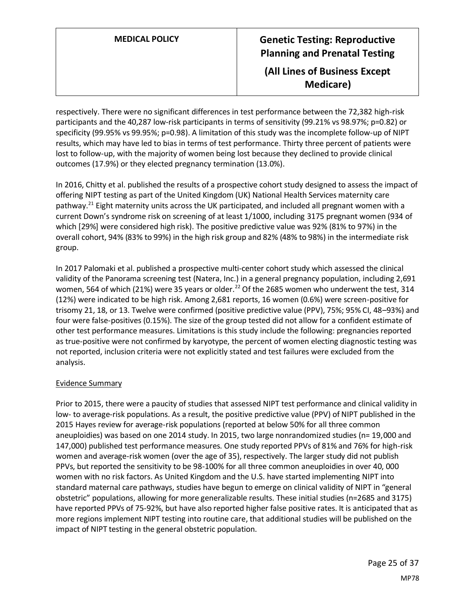# **MEDICAL POLICY Genetic Testing: Reproductive Planning and Prenatal Testing (All Lines of Business Except Medicare)**

respectively. There were no significant differences in test performance between the 72,382 high-risk participants and the 40,287 low-risk participants in terms of sensitivity (99.21% vs 98.97%; p=0.82) or specificity (99.95% vs 99.95%; p=0.98). A limitation of this study was the incomplete follow-up of NIPT results, which may have led to bias in terms of test performance. Thirty three percent of patients were lost to follow-up, with the majority of women being lost because they declined to provide clinical outcomes (17.9%) or they elected pregnancy termination (13.0%).

In 2016, Chitty et al. published the results of a prospective cohort study designed to assess the impact of offering NIPT testing as part of the United Kingdom (UK) National Health Services maternity care pathway.<sup>21</sup> Eight maternity units across the UK participated, and included all pregnant women with a current Down's syndrome risk on screening of at least 1/1000, including 3175 pregnant women (934 of which [29%] were considered high risk). The positive predictive value was 92% (81% to 97%) in the overall cohort, 94% (83% to 99%) in the high risk group and 82% (48% to 98%) in the intermediate risk group.

In 2017 Palomaki et al. published a prospective multi-center cohort study which assessed the clinical validity of the Panorama screening test (Natera, Inc.) in a general pregnancy population, including 2,691 women, 564 of which (21%) were 35 years or older.<sup>22</sup> Of the 2685 women who underwent the test, 314 (12%) were indicated to be high risk. Among 2,681 reports, 16 women (0.6%) were screen-positive for trisomy 21, 18, or 13. Twelve were confirmed (positive predictive value (PPV), 75%; 95% CI, 48–93%) and four were false-positives (0.15%). The size of the group tested did not allow for a confident estimate of other test performance measures. Limitations is this study include the following: pregnancies reported as true-positive were not confirmed by karyotype, the percent of women electing diagnostic testing was not reported, inclusion criteria were not explicitly stated and test failures were excluded from the analysis.

#### Evidence Summary

Prior to 2015, there were a paucity of studies that assessed NIPT test performance and clinical validity in low- to average-risk populations. As a result, the positive predictive value (PPV) of NIPT published in the 2015 Hayes review for average-risk populations (reported at below 50% for all three common aneuploidies) was based on one 2014 study. In 2015, two large nonrandomized studies (n= 19,000 and 147,000) published test performance measures. One study reported PPVs of 81% and 76% for high-risk women and average-risk women (over the age of 35), respectively. The larger study did not publish PPVs, but reported the sensitivity to be 98-100% for all three common aneuploidies in over 40, 000 women with no risk factors. As United Kingdom and the U.S. have started implementing NIPT into standard maternal care pathways, studies have begun to emerge on clinical validity of NIPT in "general obstetric" populations, allowing for more generalizable results. These initial studies (n=2685 and 3175) have reported PPVs of 75-92%, but have also reported higher false positive rates. It is anticipated that as more regions implement NIPT testing into routine care, that additional studies will be published on the impact of NIPT testing in the general obstetric population.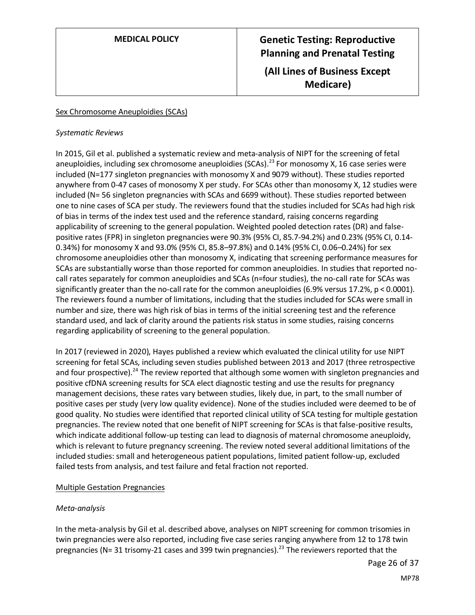# **MEDICAL POLICY Genetic Testing: Reproductive Planning and Prenatal Testing (All Lines of Business Except**

**Medicare)**

#### Sex Chromosome Aneuploidies (SCAs)

#### *Systematic Reviews*

In 2015, Gil et al. published a systematic review and meta-analysis of NIPT for the screening of fetal aneuploidies, including sex chromosome aneuploidies (SCAs).<sup>23</sup> For monosomy X, 16 case series were included (N=177 singleton pregnancies with monosomy X and 9079 without). These studies reported anywhere from 0-47 cases of monosomy X per study. For SCAs other than monosomy X, 12 studies were included (N= 56 singleton pregnancies with SCAs and 6699 without). These studies reported between one to nine cases of SCA per study. The reviewers found that the studies included for SCAs had high risk of bias in terms of the index test used and the reference standard, raising concerns regarding applicability of screening to the general population. Weighted pooled detection rates (DR) and falsepositive rates (FPR) in singleton pregnancies were 90.3% (95% CI, 85.7-94.2%) and 0.23% (95% CI, 0.14- 0.34%) for monosomy X and 93.0% (95% CI, 85.8–97.8%) and 0.14% (95% CI, 0.06–0.24%) for sex chromosome aneuploidies other than monosomy X, indicating that screening performance measures for SCAs are substantially worse than those reported for common aneuploidies. In studies that reported nocall rates separately for common aneuploidies and SCAs (n=four studies), the no-call rate for SCAs was significantly greater than the no-call rate for the common aneuploidies (6.9% versus 17.2%, p < 0.0001). The reviewers found a number of limitations, including that the studies included for SCAs were small in number and size, there was high risk of bias in terms of the initial screening test and the reference standard used, and lack of clarity around the patients risk status in some studies, raising concerns regarding applicability of screening to the general population.

In 2017 (reviewed in 2020), Hayes published a review which evaluated the clinical utility for use NIPT screening for fetal SCAs, including seven studies published between 2013 and 2017 (three retrospective and four prospective).<sup>24</sup> The review reported that although some women with singleton pregnancies and positive cfDNA screening results for SCA elect diagnostic testing and use the results for pregnancy management decisions, these rates vary between studies, likely due, in part, to the small number of positive cases per study (very low quality evidence). None of the studies included were deemed to be of good quality. No studies were identified that reported clinical utility of SCA testing for multiple gestation pregnancies. The review noted that one benefit of NIPT screening for SCAs is that false-positive results, which indicate additional follow-up testing can lead to diagnosis of maternal chromosome aneuploidy, which is relevant to future pregnancy screening. The review noted several additional limitations of the included studies: small and heterogeneous patient populations, limited patient follow-up, excluded failed tests from analysis, and test failure and fetal fraction not reported.

#### Multiple Gestation Pregnancies

### *Meta-analysis*

In the meta-analysis by Gil et al. described above, analyses on NIPT screening for common trisomies in twin pregnancies were also reported, including five case series ranging anywhere from 12 to 178 twin pregnancies (N= 31 trisomy-21 cases and 399 twin pregnancies).<sup>23</sup> The reviewers reported that the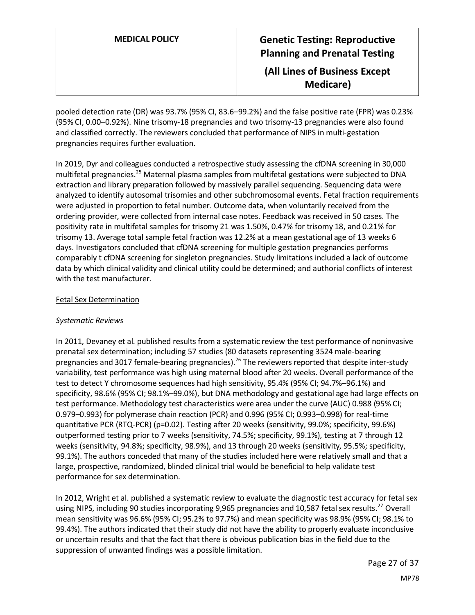# **MEDICAL POLICY Genetic Testing: Reproductive Planning and Prenatal Testing (All Lines of Business Except**

**Medicare)**

pooled detection rate (DR) was 93.7% (95% CI, 83.6–99.2%) and the false positive rate (FPR) was 0.23% (95% CI, 0.00–0.92%). Nine trisomy-18 pregnancies and two trisomy-13 pregnancies were also found and classified correctly. The reviewers concluded that performance of NIPS in multi-gestation pregnancies requires further evaluation.

In 2019, Dyr and colleagues conducted a retrospective study assessing the cfDNA screening in 30,000 multifetal pregnancies.<sup>25</sup> Maternal plasma samples from multifetal gestations were subjected to DNA extraction and library preparation followed by massively parallel sequencing. Sequencing data were analyzed to identify autosomal trisomies and other subchromosomal events. Fetal fraction requirements were adjusted in proportion to fetal number. Outcome data, when voluntarily received from the ordering provider, were collected from internal case notes. Feedback was received in 50 cases. The positivity rate in multifetal samples for trisomy 21 was 1.50%, 0.47% for trisomy 18, and 0.21% for trisomy 13. Average total sample fetal fraction was 12.2% at a mean gestational age of 13 weeks 6 days. Investigators concluded that cfDNA screening for multiple gestation pregnancies performs comparably t cfDNA screening for singleton pregnancies. Study limitations included a lack of outcome data by which clinical validity and clinical utility could be determined; and authorial conflicts of interest with the test manufacturer.

#### Fetal Sex Determination

#### *Systematic Reviews*

In 2011, Devaney et al. published results from a systematic review the test performance of noninvasive prenatal sex determination; including 57 studies (80 datasets representing 3524 male-bearing pregnancies and 3017 female-bearing pregnancies).<sup>26</sup> The reviewers reported that despite inter-study variability, test performance was high using maternal blood after 20 weeks. Overall performance of the test to detect Y chromosome sequences had high sensitivity, 95.4% (95% CI; 94.7%–96.1%) and specificity, 98.6% (95% CI; 98.1%–99.0%), but DNA methodology and gestational age had large effects on test performance. Methodology test characteristics were area under the curve (AUC) 0.988 (95% CI; 0.979–0.993) for polymerase chain reaction (PCR) and 0.996 (95% CI; 0.993–0.998) for real-time quantitative PCR (RTQ-PCR) (p=0.02). Testing after 20 weeks (sensitivity, 99.0%; specificity, 99.6%) outperformed testing prior to 7 weeks (sensitivity, 74.5%; specificity, 99.1%), testing at 7 through 12 weeks (sensitivity, 94.8%; specificity, 98.9%), and 13 through 20 weeks (sensitivity, 95.5%; specificity, 99.1%). The authors conceded that many of the studies included here were relatively small and that a large, prospective, randomized, blinded clinical trial would be beneficial to help validate test performance for sex determination.

In 2012, Wright et al. published a systematic review to evaluate the diagnostic test accuracy for fetal sex using NIPS, including 90 studies incorporating 9,965 pregnancies and 10,587 fetal sex results.<sup>27</sup> Overall mean sensitivity was 96.6% (95% CI; 95.2% to 97.7%) and mean specificity was 98.9% (95% CI; 98.1% to 99.4%). The authors indicated that their study did not have the ability to properly evaluate inconclusive or uncertain results and that the fact that there is obvious publication bias in the field due to the suppression of unwanted findings was a possible limitation.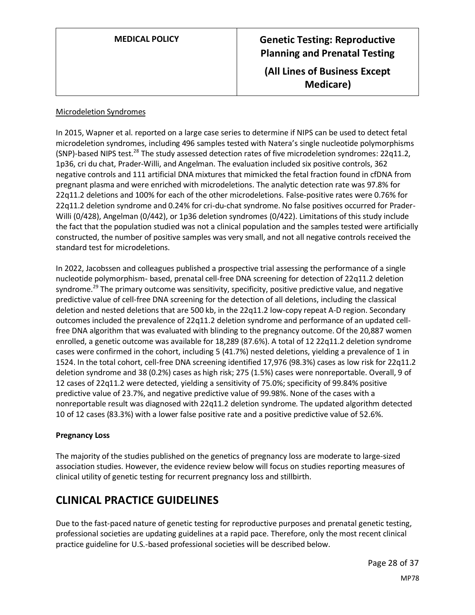| <b>MEDICAL POLICY</b> |  |
|-----------------------|--|
|                       |  |

# **Genetic Testing: Reproductive Planning and Prenatal Testing (All Lines of Business Except Medicare)**

#### Microdeletion Syndromes

In 2015, Wapner et al. reported on a large case series to determine if NIPS can be used to detect fetal microdeletion syndromes, including 496 samples tested with Natera's single nucleotide polymorphisms (SNP)-based NIPS test.<sup>28</sup> The study assessed detection rates of five microdeletion syndromes: 22q11.2, 1p36, cri du chat, Prader-Willi, and Angelman. The evaluation included six positive controls, 362 negative controls and 111 artificial DNA mixtures that mimicked the fetal fraction found in cfDNA from pregnant plasma and were enriched with microdeletions. The analytic detection rate was 97.8% for 22q11.2 deletions and 100% for each of the other microdeletions. False-positive rates were 0.76% for 22q11.2 deletion syndrome and 0.24% for cri-du-chat syndrome. No false positives occurred for Prader-Willi (0/428), Angelman (0/442), or 1p36 deletion syndromes (0/422). Limitations of this study include the fact that the population studied was not a clinical population and the samples tested were artificially constructed, the number of positive samples was very small, and not all negative controls received the standard test for microdeletions.

In 2022, Jacobssen and colleagues published a prospective trial assessing the performance of a single nucleotide polymorphism- based, prenatal cell-free DNA screening for detection of 22q11.2 deletion syndrome.<sup>29</sup> The primary outcome was sensitivity, specificity, positive predictive value, and negative predictive value of cell-free DNA screening for the detection of all deletions, including the classical deletion and nested deletions that are 500 kb, in the 22q11.2 low-copy repeat A-D region. Secondary outcomes included the prevalence of 22q11.2 deletion syndrome and performance of an updated cellfree DNA algorithm that was evaluated with blinding to the pregnancy outcome. Of the 20,887 women enrolled, a genetic outcome was available for 18,289 (87.6%). A total of 12 22q11.2 deletion syndrome cases were confirmed in the cohort, including 5 (41.7%) nested deletions, yielding a prevalence of 1 in 1524. In the total cohort, cell-free DNA screening identified 17,976 (98.3%) cases as low risk for 22q11.2 deletion syndrome and 38 (0.2%) cases as high risk; 275 (1.5%) cases were nonreportable. Overall, 9 of 12 cases of 22q11.2 were detected, yielding a sensitivity of 75.0%; specificity of 99.84% positive predictive value of 23.7%, and negative predictive value of 99.98%. None of the cases with a nonreportable result was diagnosed with 22q11.2 deletion syndrome. The updated algorithm detected 10 of 12 cases (83.3%) with a lower false positive rate and a positive predictive value of 52.6%.

#### **Pregnancy Loss**

The majority of the studies published on the genetics of pregnancy loss are moderate to large-sized association studies. However, the evidence review below will focus on studies reporting measures of clinical utility of genetic testing for recurrent pregnancy loss and stillbirth.

# **CLINICAL PRACTICE GUIDELINES**

Due to the fast-paced nature of genetic testing for reproductive purposes and prenatal genetic testing, professional societies are updating guidelines at a rapid pace. Therefore, only the most recent clinical practice guideline for U.S.-based professional societies will be described below.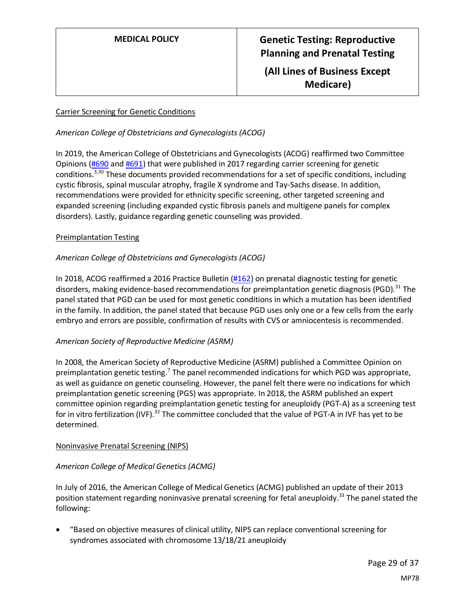## **(All Lines of Business Except Medicare)**

### Carrier Screening for Genetic Conditions

### *American College of Obstetricians and Gynecologists (ACOG)*

In 2019, the American College of Obstetricians and Gynecologists (ACOG) reaffirmed two Committee Opinions [\(#690](https://www.acog.org/Resources-And-Publications/Committee-Opinions/Committee-on-Genetics/Carrier-Screening-in-the-Age-of-Genomic-Medicine) an[d #691\)](https://www.acog.org/Resources-And-Publications/Committee-Opinions/Committee-on-Genetics/Carrier-Screening-for-Genetic-Conditions) that were published in 2017 regarding carrier screening for genetic conditions.<sup>3,30</sup> These documents provided recommendations for a set of specific conditions, including cystic fibrosis, spinal muscular atrophy, fragile X syndrome and Tay-Sachs disease. In addition, recommendations were provided for ethnicity specific screening, other targeted screening and expanded screening (including expanded cystic fibrosis panels and multigene panels for complex disorders). Lastly, guidance regarding genetic counseling was provided.

#### Preimplantation Testing

### *American College of Obstetricians and Gynecologists (ACOG)*

In 2018, ACOG reaffirmed a 2016 Practice Bulletin [\(#162\)](https://www.acog.org/Resources-And-Publications/Practice-Bulletins-List) on prenatal diagnostic testing for genetic disorders, making evidence-based recommendations for preimplantation genetic diagnosis (PGD).<sup>31</sup> The panel stated that PGD can be used for most genetic conditions in which a mutation has been identified in the family. In addition, the panel stated that because PGD uses only one or a few cells from the early embryo and errors are possible, confirmation of results with CVS or amniocentesis is recommended.

### *American Society of Reproductive Medicine (ASRM)*

In 2008, the American Society of Reproductive Medicine (ASRM) published a Committee Opinion on preimplantation genetic testing.<sup>7</sup> The panel recommended indications for which PGD was appropriate, as well as guidance on genetic counseling. However, the panel felt there were no indications for which preimplantation genetic screening (PGS) was appropriate. In 2018, the ASRM published an expert committee opinion regarding preimplantation genetic testing for aneuploidy (PGT-A) as a screening test for in vitro fertilization (IVF).<sup>32</sup> The committee concluded that the value of PGT-A in IVF has yet to be determined.

### Noninvasive Prenatal Screening (NIPS)

### *American College of Medical Genetics (ACMG)*

In July of 2016, the American College of Medical Genetics (ACMG) published an update of their 2013 position statement regarding noninvasive prenatal screening for fetal aneuploidy.<sup>33</sup> The panel stated the following:

• "Based on objective measures of clinical utility, NIPS can replace conventional screening for syndromes associated with chromosome 13/18/21 aneuploidy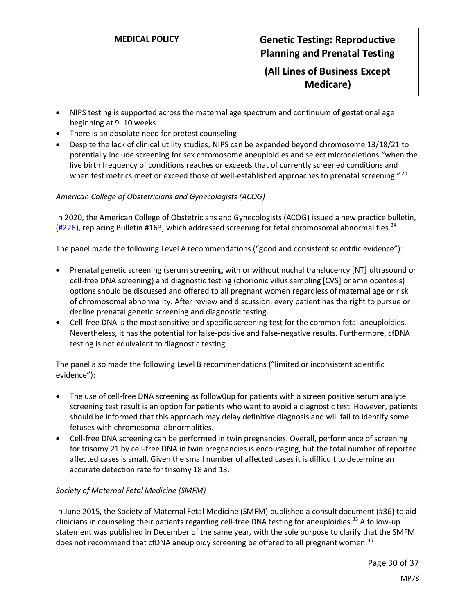**(All Lines of Business Except Medicare)**

- NIPS testing is supported across the maternal age spectrum and continuum of gestational age beginning at 9–10 weeks
- There is an absolute need for pretest counseling
- Despite the lack of clinical utility studies, NIPS can be expanded beyond chromosome 13/18/21 to potentially include screening for sex chromosome aneuploidies and select microdeletions "when the live birth frequency of conditions reaches or exceeds that of currently screened conditions and when test metrics meet or exceed those of well-established approaches to prenatal screening."<sup>20</sup>

### *American College of Obstetricians and Gynecologists (ACOG)*

In 2020, the American College of Obstetricians and Gynecologists (ACOG) issued a new practice bulletin, [\(#226\)](https://pubmed.ncbi.nlm.nih.gov/32804883/), replacing Bulletin #163, which addressed screening for fetal chromosomal abnormalities.<sup>34</sup>

The panel made the following Level A recommendations ("good and consistent scientific evidence"):

- Prenatal genetic screening (serum screening with or without nuchal translucency [NT] ultrasound or cell-free DNA screening) and diagnostic testing (chorionic villus sampling [CVS] or amniocentesis) options should be discussed and offered to all pregnant women regardless of maternal age or risk of chromosomal abnormality. After review and discussion, every patient has the right to pursue or decline prenatal genetic screening and diagnostic testing.
- Cell-free DNA is the most sensitive and specific screening test for the common fetal aneuploidies. Nevertheless, it has the potential for false-positive and false-negative results. Furthermore, cfDNA testing is not equivalent to diagnostic testing

The panel also made the following Level B recommendations ("limited or inconsistent scientific evidence"):

- The use of cell-free DNA screening as follow0up for patients with a screen positive serum analyte screening test result is an option for patients who want to avoid a diagnostic test. However, patients should be informed that this approach may delay definitive diagnosis and will fail to identify some fetuses with chromosomal abnormalities.
- Cell-free DNA screening can be performed in twin pregnancies. Overall, performance of screening for trisomy 21 by cell-free DNA in twin pregnancies is encouraging, but the total number of reported affected cases is small. Given the small number of affected cases it is difficult to determine an accurate detection rate for trisomy 18 and 13.

### *Society of Maternal Fetal Medicine (SMFM)*

In June 2015, the Society of Maternal Fetal Medicine (SMFM) published a consult document (#36) to aid clinicians in counseling their patients regarding cell-free DNA testing for aneuploidies.<sup>35</sup> A follow-up statement was published in December of the same year, with the sole purpose to clarify that the SMFM does not recommend that cfDNA aneuploidy screening be offered to all pregnant women.<sup>36</sup>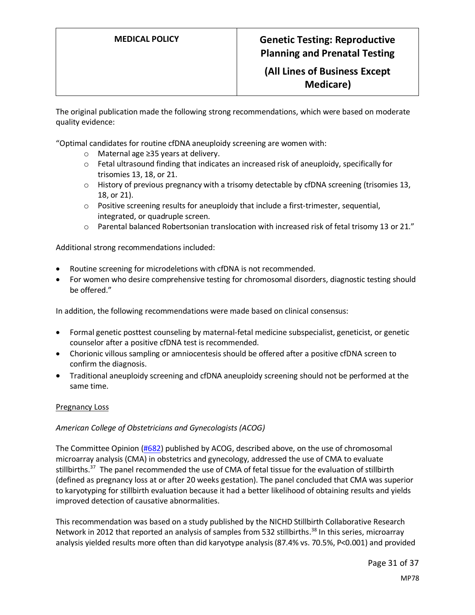## **(All Lines of Business Except Medicare)**

The original publication made the following strong recommendations, which were based on moderate quality evidence:

"Optimal candidates for routine cfDNA aneuploidy screening are women with:

- o Maternal age ≥35 years at delivery.
- $\circ$  Fetal ultrasound finding that indicates an increased risk of aneuploidy, specifically for trisomies 13, 18, or 21.
- $\circ$  History of previous pregnancy with a trisomy detectable by cfDNA screening (trisomies 13, 18, or 21).
- $\circ$  Positive screening results for aneuploidy that include a first-trimester, sequential, integrated, or quadruple screen.
- o Parental balanced Robertsonian translocation with increased risk of fetal trisomy 13 or 21."

Additional strong recommendations included:

- Routine screening for microdeletions with cfDNA is not recommended.
- For women who desire comprehensive testing for chromosomal disorders, diagnostic testing should be offered."

In addition, the following recommendations were made based on clinical consensus:

- Formal genetic posttest counseling by maternal-fetal medicine subspecialist, geneticist, or genetic counselor after a positive cfDNA test is recommended.
- Chorionic villous sampling or amniocentesis should be offered after a positive cfDNA screen to confirm the diagnosis.
- Traditional aneuploidy screening and cfDNA aneuploidy screening should not be performed at the same time.

#### Pregnancy Loss

#### *American College of Obstetricians and Gynecologists (ACOG)*

The Committee Opinion [\(#682\)](https://www.acog.org/Resources-And-Publications/Committee-Opinions/Committee-on-Genetics/Microarrays-and-Next-Generation-Sequencing-Technology) published by ACOG, described above, on the use of chromosomal microarray analysis (CMA) in obstetrics and gynecology, addressed the use of CMA to evaluate stillbirths.<sup>37</sup> The panel recommended the use of CMA of fetal tissue for the evaluation of stillbirth (defined as pregnancy loss at or after 20 weeks gestation). The panel concluded that CMA was superior to karyotyping for stillbirth evaluation because it had a better likelihood of obtaining results and yields improved detection of causative abnormalities.

This recommendation was based on a study published by the NICHD Stillbirth Collaborative Research Network in 2012 that reported an analysis of samples from 532 stillbirths.<sup>38</sup> In this series, microarray analysis yielded results more often than did karyotype analysis (87.4% vs. 70.5%, P<0.001) and provided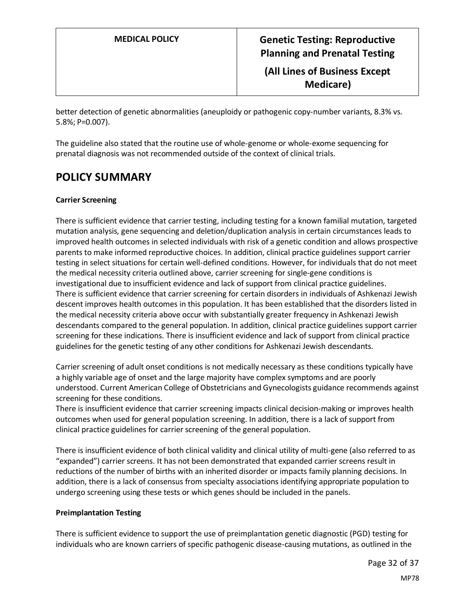better detection of genetic abnormalities (aneuploidy or pathogenic copy-number variants, 8.3% vs. 5.8%; P=0.007).

The guideline also stated that the routine use of whole-genome or whole-exome sequencing for prenatal diagnosis was not recommended outside of the context of clinical trials.

## <span id="page-31-0"></span>**POLICY SUMMARY**

#### **Carrier Screening**

There is sufficient evidence that carrier testing, including testing for a known familial mutation, targeted mutation analysis, gene sequencing and deletion/duplication analysis in certain circumstances leads to improved health outcomes in selected individuals with risk of a genetic condition and allows prospective parents to make informed reproductive choices. In addition, clinical practice guidelines support carrier testing in select situations for certain well-defined conditions. However, for individuals that do not meet the medical necessity criteria outlined above, carrier screening for single-gene conditions is investigational due to insufficient evidence and lack of support from clinical practice guidelines. There is sufficient evidence that carrier screening for certain disorders in individuals of Ashkenazi Jewish descent improves health outcomes in this population. It has been established that the disorders listed in the medical necessity criteria above occur with substantially greater frequency in Ashkenazi Jewish descendants compared to the general population. In addition, clinical practice guidelines support carrier screening for these indications. There is insufficient evidence and lack of support from clinical practice guidelines for the genetic testing of any other conditions for Ashkenazi Jewish descendants.

Carrier screening of adult onset conditions is not medically necessary as these conditions typically have a highly variable age of onset and the large majority have complex symptoms and are poorly understood. Current American College of Obstetricians and Gynecologists guidance recommends against screening for these conditions.

There is insufficient evidence that carrier screening impacts clinical decision-making or improves health outcomes when used for general population screening. In addition, there is a lack of support from clinical practice guidelines for carrier screening of the general population.

There is insufficient evidence of both clinical validity and clinical utility of multi-gene (also referred to as "expanded") carrier screens. It has not been demonstrated that expanded carrier screens result in reductions of the number of births with an inherited disorder or impacts family planning decisions. In addition, there is a lack of consensus from specialty associations identifying appropriate population to undergo screening using these tests or which genes should be included in the panels.

#### **Preimplantation Testing**

There is sufficient evidence to support the use of preimplantation genetic diagnostic (PGD) testing for individuals who are known carriers of specific pathogenic disease-causing mutations, as outlined in the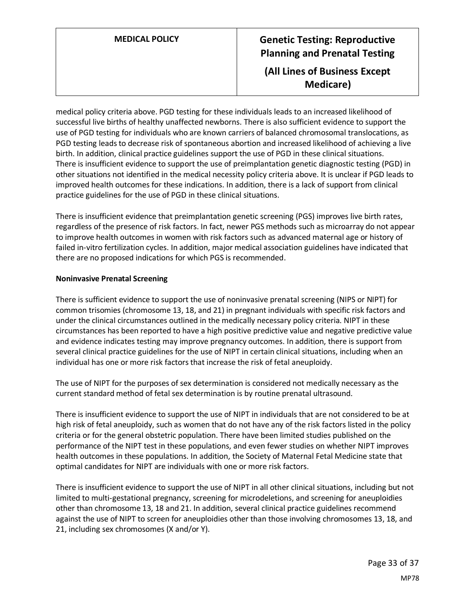# **MEDICAL POLICY Genetic Testing: Reproductive Planning and Prenatal Testing (All Lines of Business Except Medicare)**

medical policy criteria above. PGD testing for these individuals leads to an increased likelihood of successful live births of healthy unaffected newborns. There is also sufficient evidence to support the use of PGD testing for individuals who are known carriers of balanced chromosomal translocations, as PGD testing leads to decrease risk of spontaneous abortion and increased likelihood of achieving a live birth. In addition, clinical practice guidelines support the use of PGD in these clinical situations. There is insufficient evidence to support the use of preimplantation genetic diagnostic testing (PGD) in other situations not identified in the medical necessity policy criteria above. It is unclear if PGD leads to improved health outcomes for these indications. In addition, there is a lack of support from clinical practice guidelines for the use of PGD in these clinical situations.

There is insufficient evidence that preimplantation genetic screening (PGS) improves live birth rates, regardless of the presence of risk factors. In fact, newer PGS methods such as microarray do not appear to improve health outcomes in women with risk factors such as advanced maternal age or history of failed in-vitro fertilization cycles. In addition, major medical association guidelines have indicated that there are no proposed indications for which PGS is recommended.

#### **Noninvasive Prenatal Screening**

There is sufficient evidence to support the use of noninvasive prenatal screening (NIPS or NIPT) for common trisomies (chromosome 13, 18, and 21) in pregnant individuals with specific risk factors and under the clinical circumstances outlined in the medically necessary policy criteria. NIPT in these circumstances has been reported to have a high positive predictive value and negative predictive value and evidence indicates testing may improve pregnancy outcomes. In addition, there is support from several clinical practice guidelines for the use of NIPT in certain clinical situations, including when an individual has one or more risk factors that increase the risk of fetal aneuploidy.

The use of NIPT for the purposes of sex determination is considered not medically necessary as the current standard method of fetal sex determination is by routine prenatal ultrasound.

There is insufficient evidence to support the use of NIPT in individuals that are not considered to be at high risk of fetal aneuploidy, such as women that do not have any of the risk factors listed in the policy criteria or for the general obstetric population. There have been limited studies published on the performance of the NIPT test in these populations, and even fewer studies on whether NIPT improves health outcomes in these populations. In addition, the Society of Maternal Fetal Medicine state that optimal candidates for NIPT are individuals with one or more risk factors.

There is insufficient evidence to support the use of NIPT in all other clinical situations, including but not limited to multi-gestational pregnancy, screening for microdeletions, and screening for aneuploidies other than chromosome 13, 18 and 21. In addition, several clinical practice guidelines recommend against the use of NIPT to screen for aneuploidies other than those involving chromosomes 13, 18, and 21, including sex chromosomes (X and/or Y).

> Page 33 of 37 MP78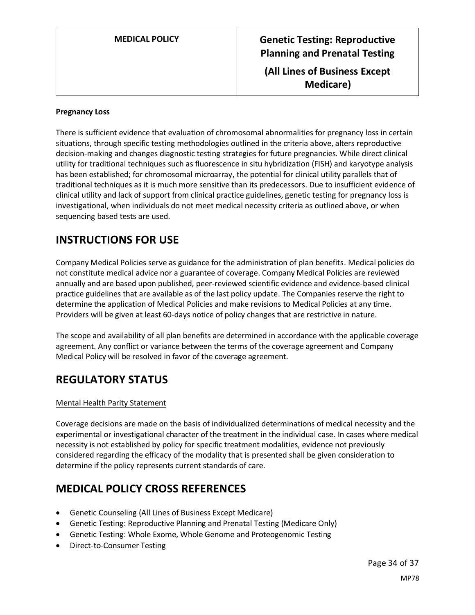**MEDICAL POLICY Genetic Testing: Reproductive Planning and Prenatal Testing (All Lines of Business Except Medicare)**

#### **Pregnancy Loss**

There is sufficient evidence that evaluation of chromosomal abnormalities for pregnancy loss in certain situations, through specific testing methodologies outlined in the criteria above, alters reproductive decision-making and changes diagnostic testing strategies for future pregnancies. While direct clinical utility for traditional techniques such as fluorescence in situ hybridization (FISH) and karyotype analysis has been established; for chromosomal microarray, the potential for clinical utility parallels that of traditional techniques as it is much more sensitive than its predecessors. Due to insufficient evidence of clinical utility and lack of support from clinical practice guidelines, genetic testing for pregnancy loss is investigational, when individuals do not meet medical necessity criteria as outlined above, or when sequencing based tests are used.

## **INSTRUCTIONS FOR USE**

Company Medical Policies serve as guidance for the administration of plan benefits. Medical policies do not constitute medical advice nor a guarantee of coverage. Company Medical Policies are reviewed annually and are based upon published, peer-reviewed scientific evidence and evidence-based clinical practice guidelines that are available as of the last policy update. The Companies reserve the right to determine the application of Medical Policies and make revisions to Medical Policies at any time. Providers will be given at least 60-days notice of policy changes that are restrictive in nature.

The scope and availability of all plan benefits are determined in accordance with the applicable coverage agreement. Any conflict or variance between the terms of the coverage agreement and Company Medical Policy will be resolved in favor of the coverage agreement.

## **REGULATORY STATUS**

#### Mental Health Parity Statement

Coverage decisions are made on the basis of individualized determinations of medical necessity and the experimental or investigational character of the treatment in the individual case. In cases where medical necessity is not established by policy for specific treatment modalities, evidence not previously considered regarding the efficacy of the modality that is presented shall be given consideration to determine if the policy represents current standards of care.

## **MEDICAL POLICY CROSS REFERENCES**

- Genetic Counseling (All Lines of Business Except Medicare)
- Genetic Testing: Reproductive Planning and Prenatal Testing (Medicare Only)
- Genetic Testing: Whole Exome, Whole Genome and Proteogenomic Testing
- Direct-to-Consumer Testing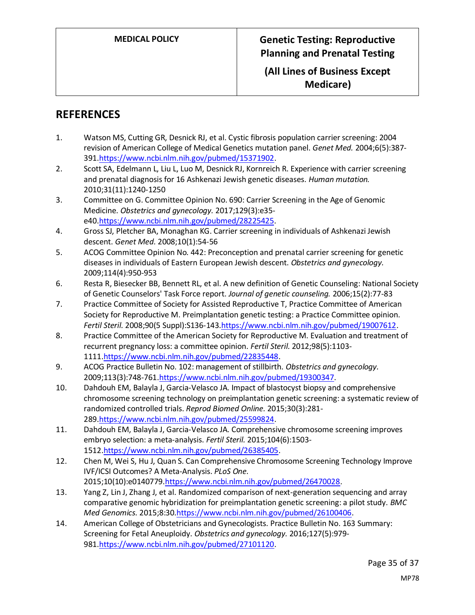**(All Lines of Business Except Medicare)**

# **REFERENCES**

- 1. Watson MS, Cutting GR, Desnick RJ, et al. Cystic fibrosis population carrier screening: 2004 revision of American College of Medical Genetics mutation panel. *Genet Med.* 2004;6(5):387- 391[.https://www.ncbi.nlm.nih.gov/pubmed/15371902.](https://www.ncbi.nlm.nih.gov/pubmed/15371902)
- 2. Scott SA, Edelmann L, Liu L, Luo M, Desnick RJ, Kornreich R. Experience with carrier screening and prenatal diagnosis for 16 Ashkenazi Jewish genetic diseases. *Human mutation.*  2010;31(11):1240-1250
- 3. Committee on G. Committee Opinion No. 690: Carrier Screening in the Age of Genomic Medicine. *Obstetrics and gynecology.* 2017;129(3):e35 e40[.https://www.ncbi.nlm.nih.gov/pubmed/28225425.](https://www.ncbi.nlm.nih.gov/pubmed/28225425)
- 4. Gross SJ, Pletcher BA, Monaghan KG. Carrier screening in individuals of Ashkenazi Jewish descent. *Genet Med.* 2008;10(1):54-56
- 5. ACOG Committee Opinion No. 442: Preconception and prenatal carrier screening for genetic diseases in individuals of Eastern European Jewish descent. *Obstetrics and gynecology.*  2009;114(4):950-953
- 6. Resta R, Biesecker BB, Bennett RL, et al. A new definition of Genetic Counseling: National Society of Genetic Counselors' Task Force report. *Journal of genetic counseling.* 2006;15(2):77-83
- 7. Practice Committee of Society for Assisted Reproductive T, Practice Committee of American Society for Reproductive M. Preimplantation genetic testing: a Practice Committee opinion. *Fertil Steril.* 2008;90(5 Suppl):S136-143[.https://www.ncbi.nlm.nih.gov/pubmed/19007612.](https://www.ncbi.nlm.nih.gov/pubmed/19007612)
- 8. Practice Committee of the American Society for Reproductive M. Evaluation and treatment of recurrent pregnancy loss: a committee opinion. *Fertil Steril.* 2012;98(5):1103- 1111[.https://www.ncbi.nlm.nih.gov/pubmed/22835448.](https://www.ncbi.nlm.nih.gov/pubmed/22835448)
- 9. ACOG Practice Bulletin No. 102: management of stillbirth. *Obstetrics and gynecology.*  2009;113(3):748-76[1.https://www.ncbi.nlm.nih.gov/pubmed/19300347.](https://www.ncbi.nlm.nih.gov/pubmed/19300347)
- 10. Dahdouh EM, Balayla J, Garcia-Velasco JA. Impact of blastocyst biopsy and comprehensive chromosome screening technology on preimplantation genetic screening: a systematic review of randomized controlled trials. *Reprod Biomed Online.* 2015;30(3):281- 289[.https://www.ncbi.nlm.nih.gov/pubmed/25599824.](https://www.ncbi.nlm.nih.gov/pubmed/25599824)
- 11. Dahdouh EM, Balayla J, Garcia-Velasco JA. Comprehensive chromosome screening improves embryo selection: a meta-analysis. *Fertil Steril.* 2015;104(6):1503- 1512[.https://www.ncbi.nlm.nih.gov/pubmed/26385405.](https://www.ncbi.nlm.nih.gov/pubmed/26385405)
- 12. Chen M, Wei S, Hu J, Quan S. Can Comprehensive Chromosome Screening Technology Improve IVF/ICSI Outcomes? A Meta-Analysis. *PLoS One.*  2015;10(10):e0140779[.https://www.ncbi.nlm.nih.gov/pubmed/26470028.](https://www.ncbi.nlm.nih.gov/pubmed/26470028)
- 13. Yang Z, Lin J, Zhang J, et al. Randomized comparison of next-generation sequencing and array comparative genomic hybridization for preimplantation genetic screening: a pilot study. *BMC Med Genomics.* 2015;8:30[.https://www.ncbi.nlm.nih.gov/pubmed/26100406.](https://www.ncbi.nlm.nih.gov/pubmed/26100406)
- 14. American College of Obstetricians and Gynecologists. Practice Bulletin No. 163 Summary: Screening for Fetal Aneuploidy. *Obstetrics and gynecology.* 2016;127(5):979- 981[.https://www.ncbi.nlm.nih.gov/pubmed/27101120.](https://www.ncbi.nlm.nih.gov/pubmed/27101120)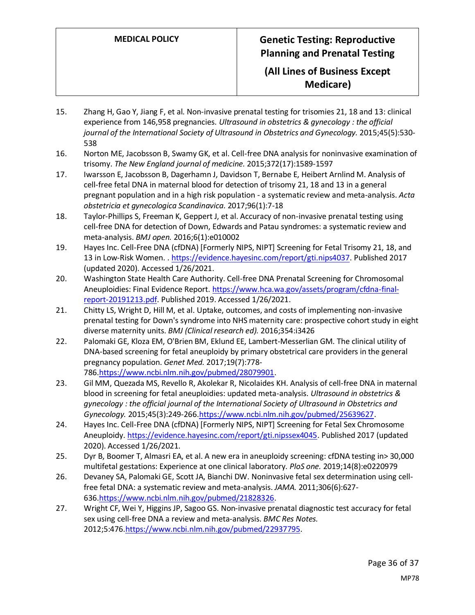- 15. Zhang H, Gao Y, Jiang F, et al. Non-invasive prenatal testing for trisomies 21, 18 and 13: clinical experience from 146,958 pregnancies. *Ultrasound in obstetrics & gynecology : the official journal of the International Society of Ultrasound in Obstetrics and Gynecology.* 2015;45(5):530- 538
- 16. Norton ME, Jacobsson B, Swamy GK, et al. Cell-free DNA analysis for noninvasive examination of trisomy. *The New England journal of medicine.* 2015;372(17):1589-1597
- 17. Iwarsson E, Jacobsson B, Dagerhamn J, Davidson T, Bernabe E, Heibert Arnlind M. Analysis of cell-free fetal DNA in maternal blood for detection of trisomy 21, 18 and 13 in a general pregnant population and in a high risk population - a systematic review and meta-analysis. *Acta obstetricia et gynecologica Scandinavica.* 2017;96(1):7-18
- 18. Taylor-Phillips S, Freeman K, Geppert J, et al. Accuracy of non-invasive prenatal testing using cell-free DNA for detection of Down, Edwards and Patau syndromes: a systematic review and meta-analysis. *BMJ open.* 2016;6(1):e010002
- 19. Hayes Inc. Cell-Free DNA (cfDNA) [Formerly NIPS, NIPT] Screening for Fetal Trisomy 21, 18, and 13 in Low-Risk Women. [. https://evidence.hayesinc.com/report/gti.nips4037.](https://evidence.hayesinc.com/report/gti.nips4037) Published 2017 (updated 2020). Accessed 1/26/2021.
- 20. Washington State Health Care Authority. Cell-free DNA Prenatal Screening for Chromosomal Aneuploidies: Final Evidence Report[. https://www.hca.wa.gov/assets/program/cfdna-final](https://www.hca.wa.gov/assets/program/cfdna-final-report-20191213.pdf)[report-20191213.pdf.](https://www.hca.wa.gov/assets/program/cfdna-final-report-20191213.pdf) Published 2019. Accessed 1/26/2021.
- 21. Chitty LS, Wright D, Hill M, et al. Uptake, outcomes, and costs of implementing non-invasive prenatal testing for Down's syndrome into NHS maternity care: prospective cohort study in eight diverse maternity units. *BMJ (Clinical research ed).* 2016;354:i3426
- 22. Palomaki GE, Kloza EM, O'Brien BM, Eklund EE, Lambert-Messerlian GM. The clinical utility of DNA-based screening for fetal aneuploidy by primary obstetrical care providers in the general pregnancy population. *Genet Med.* 2017;19(7):778- 786[.https://www.ncbi.nlm.nih.gov/pubmed/28079901.](https://www.ncbi.nlm.nih.gov/pubmed/28079901)
- 23. Gil MM, Quezada MS, Revello R, Akolekar R, Nicolaides KH. Analysis of cell-free DNA in maternal blood in screening for fetal aneuploidies: updated meta-analysis. *Ultrasound in obstetrics & gynecology : the official journal of the International Society of Ultrasound in Obstetrics and Gynecology.* 2015;45(3):249-266[.https://www.ncbi.nlm.nih.gov/pubmed/25639627.](https://www.ncbi.nlm.nih.gov/pubmed/25639627)
- 24. Hayes Inc. Cell-Free DNA (cfDNA) [Formerly NIPS, NIPT] Screening for Fetal Sex Chromosome Aneuploidy. [https://evidence.hayesinc.com/report/gti.nipssex4045.](https://evidence.hayesinc.com/report/gti.nipssex4045) Published 2017 (updated 2020). Accessed 1/26/2021.
- 25. Dyr B, Boomer T, Almasri EA, et al. A new era in aneuploidy screening: cfDNA testing in> 30,000 multifetal gestations: Experience at one clinical laboratory. *PloS one.* 2019;14(8):e0220979
- 26. Devaney SA, Palomaki GE, Scott JA, Bianchi DW. Noninvasive fetal sex determination using cellfree fetal DNA: a systematic review and meta-analysis. *JAMA.* 2011;306(6):627- 636[.https://www.ncbi.nlm.nih.gov/pubmed/21828326.](https://www.ncbi.nlm.nih.gov/pubmed/21828326)
- 27. Wright CF, Wei Y, Higgins JP, Sagoo GS. Non-invasive prenatal diagnostic test accuracy for fetal sex using cell-free DNA a review and meta-analysis. *BMC Res Notes.*  2012;5:476[.https://www.ncbi.nlm.nih.gov/pubmed/22937795.](https://www.ncbi.nlm.nih.gov/pubmed/22937795)